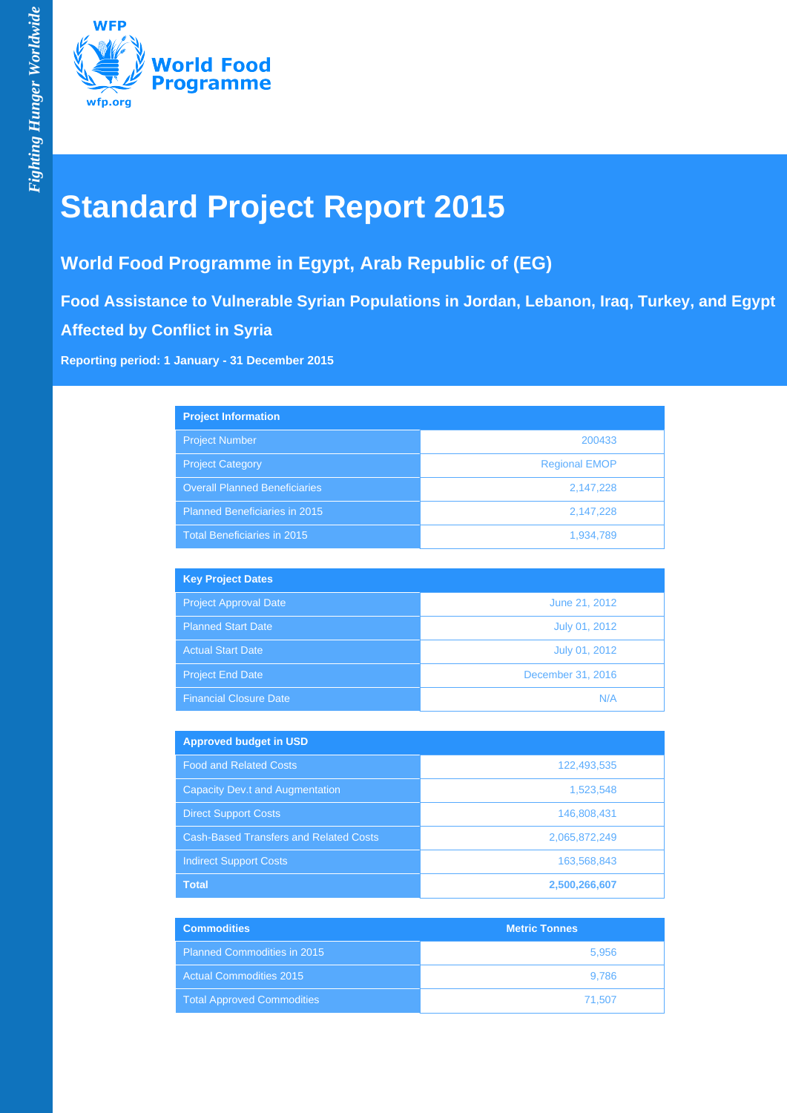

# **Standard Project Report 2015**

## **World Food Programme in Egypt, Arab Republic of (EG)**

**Food Assistance to Vulnerable Syrian Populations in Jordan, Lebanon, Iraq, Turkey, and Egypt Affected by Conflict in Syria**

**Reporting period: 1 January - 31 December 2015**

| <b>Project Information</b>           |                      |
|--------------------------------------|----------------------|
| <b>Project Number</b>                | 200433               |
| <b>Project Category</b>              | <b>Regional EMOP</b> |
| <b>Overall Planned Beneficiaries</b> | 2,147,228            |
| <b>Planned Beneficiaries in 2015</b> | 2,147,228            |
| Total Beneficiaries in 2015          | 1,934,789            |

| <b>Key Project Dates</b>      |                   |
|-------------------------------|-------------------|
| <b>Project Approval Date</b>  | June 21, 2012     |
| <b>Planned Start Date</b>     | July 01, 2012     |
| <b>Actual Start Date</b>      | July 01, 2012     |
| Project End Date              | December 31, 2016 |
| <b>Financial Closure Date</b> | N/A               |

| <b>Approved budget in USD</b>                 |               |
|-----------------------------------------------|---------------|
| <b>Food and Related Costs</b>                 | 122,493,535   |
| <b>Capacity Dev.t and Augmentation</b>        | 1,523,548     |
| <b>Direct Support Costs</b>                   | 146,808,431   |
| <b>Cash-Based Transfers and Related Costs</b> | 2,065,872,249 |
| <b>Indirect Support Costs</b>                 | 163,568,843   |
| <b>Total</b>                                  | 2,500,266,607 |

| <b>Commodities</b>                 | <b>Metric Tonnes</b> |
|------------------------------------|----------------------|
| <b>Planned Commodities in 2015</b> | 5,956                |
| <b>Actual Commodities 2015</b>     | 9.786                |
| <b>Total Approved Commodities</b>  | 71.507               |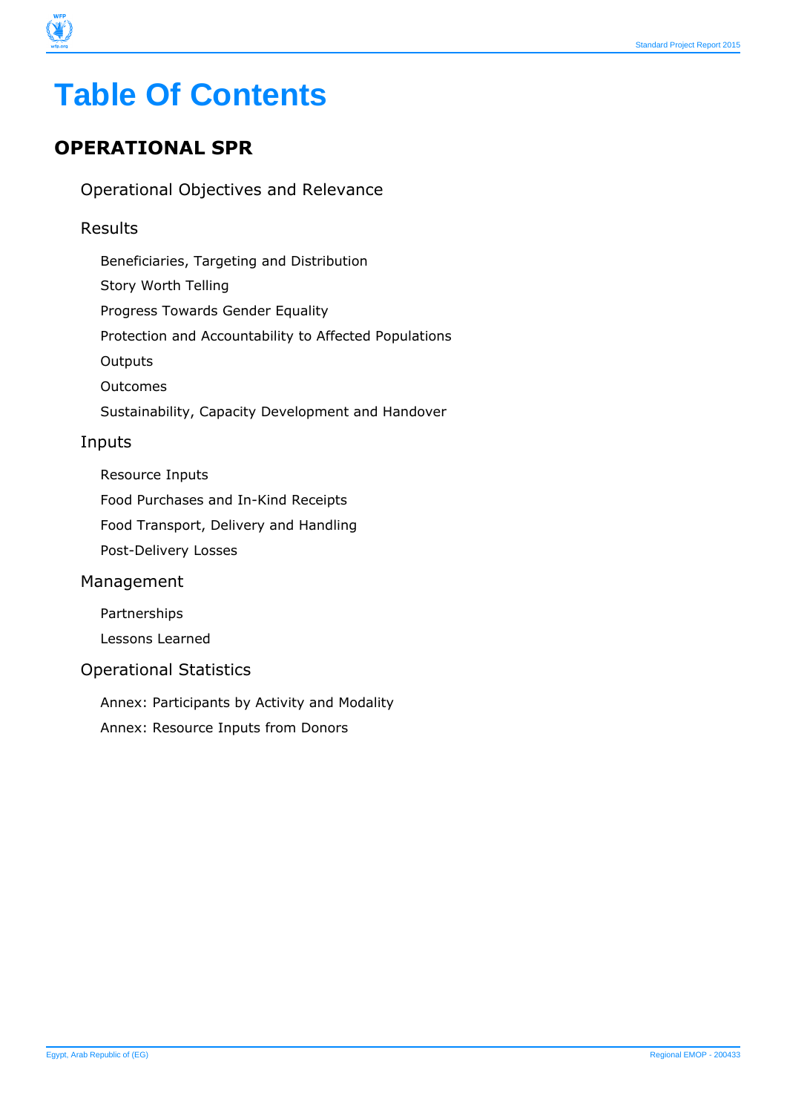

# **Table Of Contents**

## **OPERATIONAL SPR**

Operational Objectives and Relevance

#### Results

- Beneficiaries, Targeting and Distribution
- Story Worth Telling
- Progress Towards Gender Equality
- Protection and Accountability to Affected Populations
- **Outputs**
- Outcomes
- Sustainability, Capacity Development and Handover

#### Inputs

- Resource Inputs
- Food Purchases and In-Kind Receipts
- Food Transport, Delivery and Handling
- Post-Delivery Losses

#### Management

- Partnerships
- Lessons Learned

#### Operational Statistics

- Annex: Participants by Activity and Modality
- Annex: Resource Inputs from Donors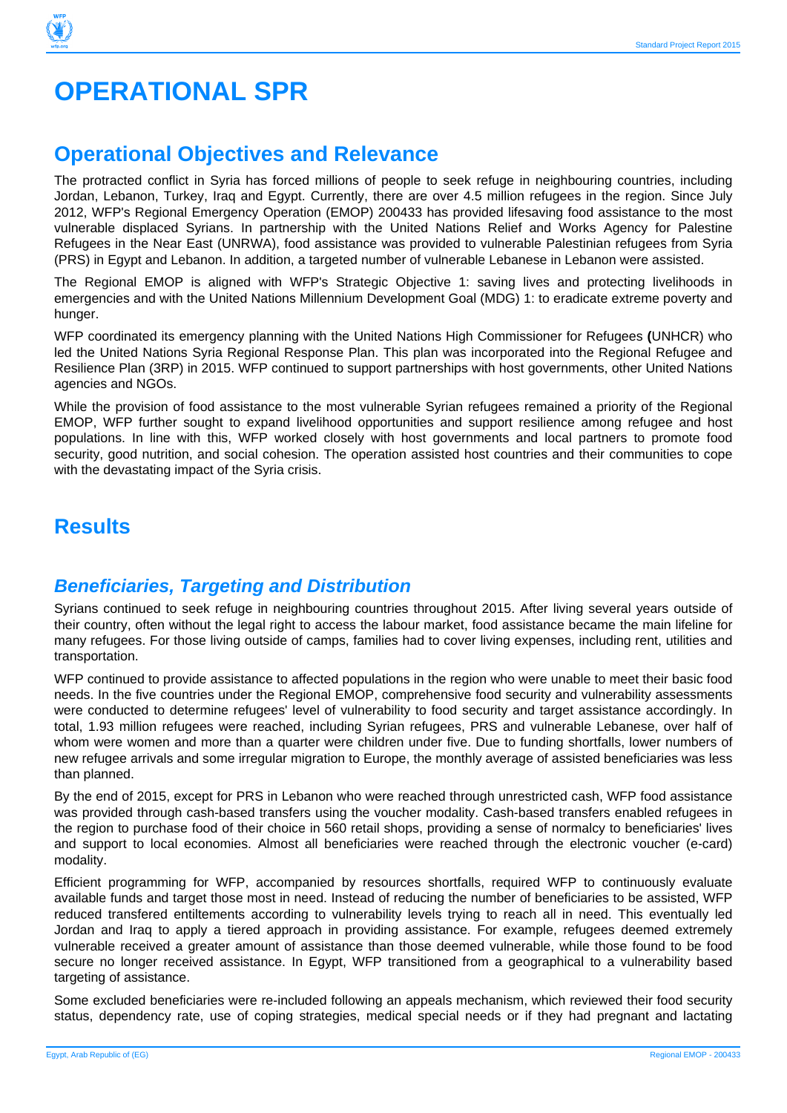## **OPERATIONAL SPR**

## **Operational Objectives and Relevance**

The protracted conflict in Syria has forced millions of people to seek refuge in neighbouring countries, including Jordan, Lebanon, Turkey, Iraq and Egypt. Currently, there are over 4.5 million refugees in the region. Since July 2012, WFP's Regional Emergency Operation (EMOP) 200433 has provided lifesaving food assistance to the most vulnerable displaced Syrians. In partnership with the United Nations Relief and Works Agency for Palestine Refugees in the Near East (UNRWA), food assistance was provided to vulnerable Palestinian refugees from Syria (PRS) in Egypt and Lebanon. In addition, a targeted number of vulnerable Lebanese in Lebanon were assisted.

The Regional EMOP is aligned with WFP's Strategic Objective 1: saving lives and protecting livelihoods in emergencies and with the United Nations Millennium Development Goal (MDG) 1: to eradicate extreme poverty and hunger.

WFP coordinated its emergency planning with the United Nations High Commissioner for Refugees **(**UNHCR) who led the United Nations Syria Regional Response Plan. This plan was incorporated into the Regional Refugee and Resilience Plan (3RP) in 2015. WFP continued to support partnerships with host governments, other United Nations agencies and NGOs.

While the provision of food assistance to the most vulnerable Syrian refugees remained a priority of the Regional EMOP, WFP further sought to expand livelihood opportunities and support resilience among refugee and host populations. In line with this, WFP worked closely with host governments and local partners to promote food security, good nutrition, and social cohesion. The operation assisted host countries and their communities to cope with the devastating impact of the Syria crisis.

## **Results**

### **Beneficiaries, Targeting and Distribution**

Syrians continued to seek refuge in neighbouring countries throughout 2015. After living several years outside of their country, often without the legal right to access the labour market, food assistance became the main lifeline for many refugees. For those living outside of camps, families had to cover living expenses, including rent, utilities and transportation.

WFP continued to provide assistance to affected populations in the region who were unable to meet their basic food needs. In the five countries under the Regional EMOP, comprehensive food security and vulnerability assessments were conducted to determine refugees' level of vulnerability to food security and target assistance accordingly. In total, 1.93 million refugees were reached, including Syrian refugees, PRS and vulnerable Lebanese, over half of whom were women and more than a quarter were children under five. Due to funding shortfalls, lower numbers of new refugee arrivals and some irregular migration to Europe, the monthly average of assisted beneficiaries was less than planned.

By the end of 2015, except for PRS in Lebanon who were reached through unrestricted cash, WFP food assistance was provided through cash-based transfers using the voucher modality. Cash-based transfers enabled refugees in the region to purchase food of their choice in 560 retail shops, providing a sense of normalcy to beneficiaries' lives and support to local economies. Almost all beneficiaries were reached through the electronic voucher (e-card) modality.

Efficient programming for WFP, accompanied by resources shortfalls, required WFP to continuously evaluate available funds and target those most in need. Instead of reducing the number of beneficiaries to be assisted, WFP reduced transfered entiltements according to vulnerability levels trying to reach all in need. This eventually led Jordan and Iraq to apply a tiered approach in providing assistance. For example, refugees deemed extremely vulnerable received a greater amount of assistance than those deemed vulnerable, while those found to be food secure no longer received assistance. In Egypt, WFP transitioned from a geographical to a vulnerability based targeting of assistance.

Some excluded beneficiaries were re-included following an appeals mechanism, which reviewed their food security status, dependency rate, use of coping strategies, medical special needs or if they had pregnant and lactating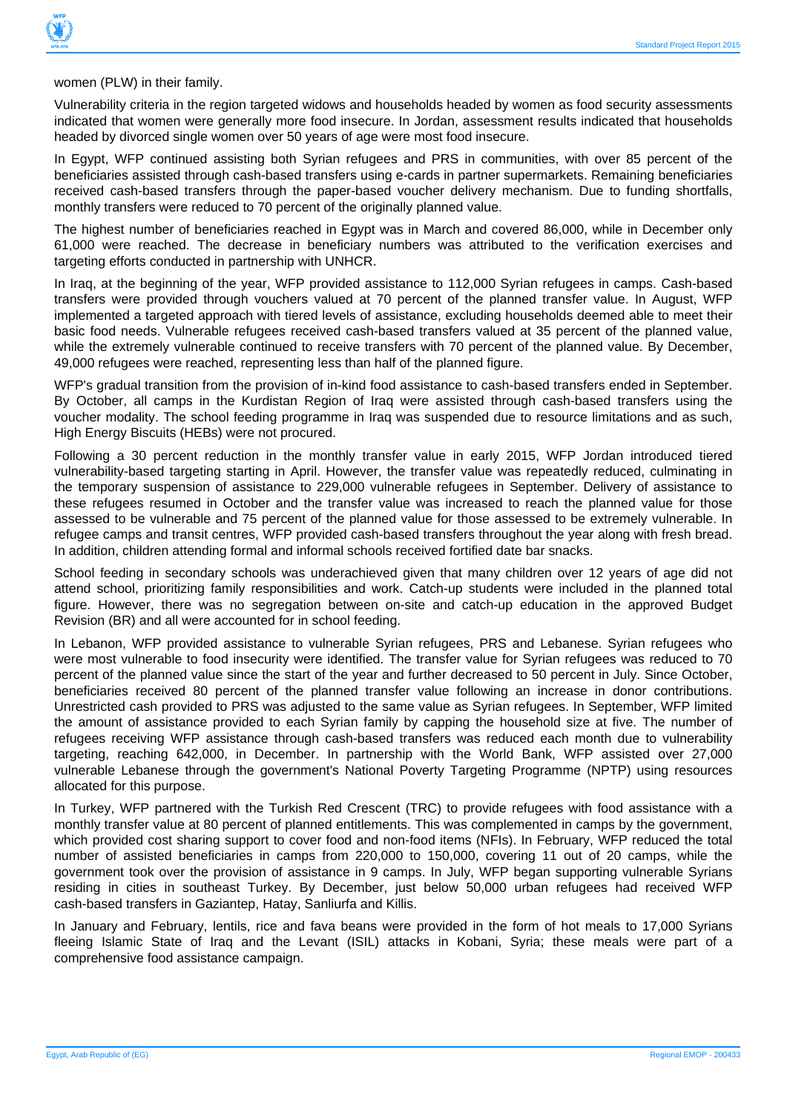

women (PLW) in their family.

Vulnerability criteria in the region targeted widows and households headed by women as food security assessments indicated that women were generally more food insecure. In Jordan, assessment results indicated that households headed by divorced single women over 50 years of age were most food insecure.

In Egypt, WFP continued assisting both Syrian refugees and PRS in communities, with over 85 percent of the beneficiaries assisted through cash-based transfers using e-cards in partner supermarkets. Remaining beneficiaries received cash-based transfers through the paper-based voucher delivery mechanism. Due to funding shortfalls, monthly transfers were reduced to 70 percent of the originally planned value.

The highest number of beneficiaries reached in Egypt was in March and covered 86,000, while in December only 61,000 were reached. The decrease in beneficiary numbers was attributed to the verification exercises and targeting efforts conducted in partnership with UNHCR.

In Iraq, at the beginning of the year, WFP provided assistance to 112,000 Syrian refugees in camps. Cash-based transfers were provided through vouchers valued at 70 percent of the planned transfer value. In August, WFP implemented a targeted approach with tiered levels of assistance, excluding households deemed able to meet their basic food needs. Vulnerable refugees received cash-based transfers valued at 35 percent of the planned value, while the extremely vulnerable continued to receive transfers with 70 percent of the planned value. By December, 49,000 refugees were reached, representing less than half of the planned figure.

WFP's gradual transition from the provision of in-kind food assistance to cash-based transfers ended in September. By October, all camps in the Kurdistan Region of Iraq were assisted through cash-based transfers using the voucher modality. The school feeding programme in Iraq was suspended due to resource limitations and as such, High Energy Biscuits (HEBs) were not procured.

Following a 30 percent reduction in the monthly transfer value in early 2015, WFP Jordan introduced tiered vulnerability-based targeting starting in April. However, the transfer value was repeatedly reduced, culminating in the temporary suspension of assistance to 229,000 vulnerable refugees in September. Delivery of assistance to these refugees resumed in October and the transfer value was increased to reach the planned value for those assessed to be vulnerable and 75 percent of the planned value for those assessed to be extremely vulnerable. In refugee camps and transit centres, WFP provided cash-based transfers throughout the year along with fresh bread. In addition, children attending formal and informal schools received fortified date bar snacks.

School feeding in secondary schools was underachieved given that many children over 12 years of age did not attend school, prioritizing family responsibilities and work. Catch-up students were included in the planned total figure. However, there was no segregation between on-site and catch-up education in the approved Budget Revision (BR) and all were accounted for in school feeding.

In Lebanon, WFP provided assistance to vulnerable Syrian refugees, PRS and Lebanese. Syrian refugees who were most vulnerable to food insecurity were identified. The transfer value for Syrian refugees was reduced to 70 percent of the planned value since the start of the year and further decreased to 50 percent in July. Since October, beneficiaries received 80 percent of the planned transfer value following an increase in donor contributions. Unrestricted cash provided to PRS was adjusted to the same value as Syrian refugees. In September, WFP limited the amount of assistance provided to each Syrian family by capping the household size at five. The number of refugees receiving WFP assistance through cash-based transfers was reduced each month due to vulnerability targeting, reaching 642,000, in December. In partnership with the World Bank, WFP assisted over 27,000 vulnerable Lebanese through the government's National Poverty Targeting Programme (NPTP) using resources allocated for this purpose.

In Turkey, WFP partnered with the Turkish Red Crescent (TRC) to provide refugees with food assistance with a monthly transfer value at 80 percent of planned entitlements. This was complemented in camps by the government, which provided cost sharing support to cover food and non-food items (NFIs). In February, WFP reduced the total number of assisted beneficiaries in camps from 220,000 to 150,000, covering 11 out of 20 camps, while the government took over the provision of assistance in 9 camps. In July, WFP began supporting vulnerable Syrians residing in cities in southeast Turkey. By December, just below 50,000 urban refugees had received WFP cash-based transfers in Gaziantep, Hatay, Sanliurfa and Killis.

In January and February, lentils, rice and fava beans were provided in the form of hot meals to 17,000 Syrians fleeing Islamic State of Iraq and the Levant (ISIL) attacks in Kobani, Syria; these meals were part of a comprehensive food assistance campaign.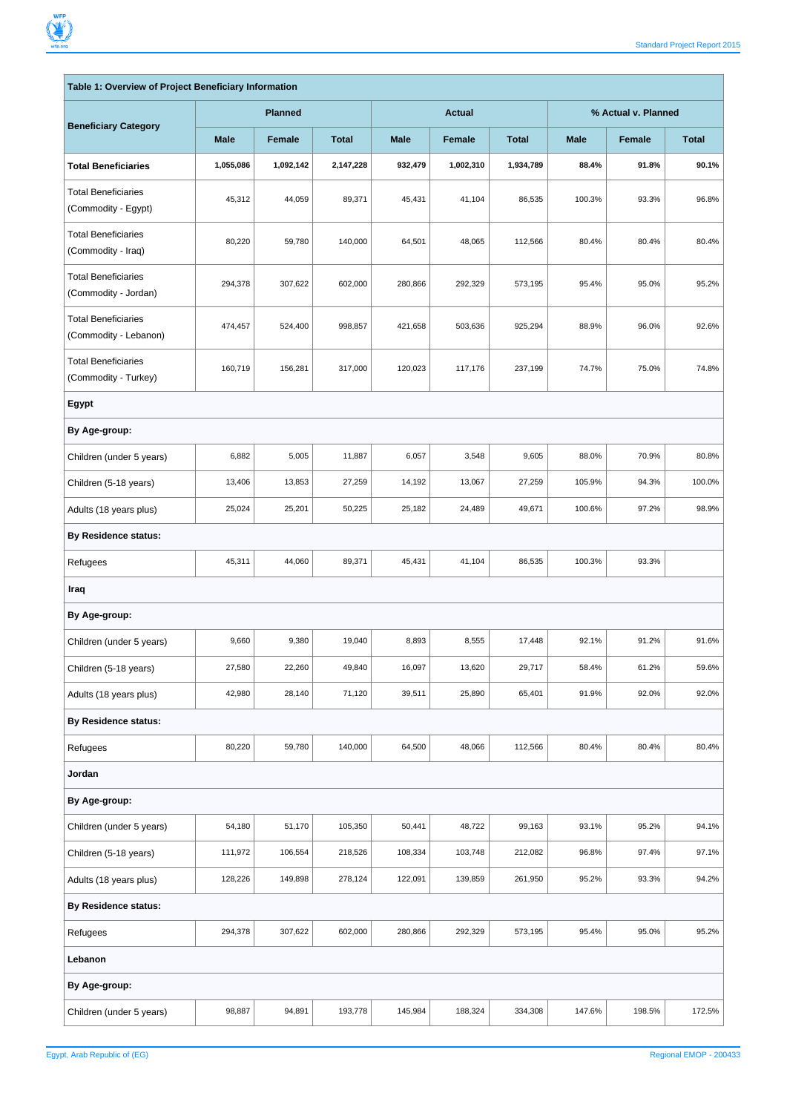$\overline{\Gamma}$ 

 $\overline{\phantom{0}}$ 

| Table 1: Overview of Project Beneficiary Information |             |                |              |             |               |              |                     |        |              |
|------------------------------------------------------|-------------|----------------|--------------|-------------|---------------|--------------|---------------------|--------|--------------|
| <b>Beneficiary Category</b>                          |             | <b>Planned</b> |              |             | <b>Actual</b> |              | % Actual v. Planned |        |              |
|                                                      | <b>Male</b> | Female         | <b>Total</b> | <b>Male</b> | Female        | <b>Total</b> | <b>Male</b>         | Female | <b>Total</b> |
| <b>Total Beneficiaries</b>                           | 1,055,086   | 1,092,142      | 2,147,228    | 932,479     | 1,002,310     | 1,934,789    | 88.4%               | 91.8%  | 90.1%        |
| <b>Total Beneficiaries</b><br>(Commodity - Egypt)    | 45,312      | 44,059         | 89,371       | 45,431      | 41,104        | 86,535       | 100.3%              | 93.3%  | 96.8%        |
| <b>Total Beneficiaries</b><br>(Commodity - Iraq)     | 80,220      | 59,780         | 140,000      | 64,501      | 48,065        | 112,566      | 80.4%               | 80.4%  | 80.4%        |
| <b>Total Beneficiaries</b><br>(Commodity - Jordan)   | 294,378     | 307,622        | 602,000      | 280,866     | 292,329       | 573,195      | 95.4%               | 95.0%  | 95.2%        |
| <b>Total Beneficiaries</b><br>(Commodity - Lebanon)  | 474,457     | 524,400        | 998,857      | 421,658     | 503,636       | 925,294      | 88.9%               | 96.0%  | 92.6%        |
| <b>Total Beneficiaries</b><br>(Commodity - Turkey)   | 160,719     | 156,281        | 317,000      | 120,023     | 117,176       | 237,199      | 74.7%               | 75.0%  | 74.8%        |
| Egypt                                                |             |                |              |             |               |              |                     |        |              |
| By Age-group:                                        |             |                |              |             |               |              |                     |        |              |
| Children (under 5 years)                             | 6,882       | 5,005          | 11,887       | 6,057       | 3,548         | 9,605        | 88.0%               | 70.9%  | 80.8%        |
| Children (5-18 years)                                | 13,406      | 13,853         | 27,259       | 14,192      | 13,067        | 27,259       | 105.9%              | 94.3%  | 100.0%       |
| Adults (18 years plus)                               | 25,024      | 25,201         | 50,225       | 25,182      | 24,489        | 49,671       | 100.6%              | 97.2%  | 98.9%        |
| <b>By Residence status:</b>                          |             |                |              |             |               |              |                     |        |              |
| Refugees                                             | 45,311      | 44,060         | 89,371       | 45,431      | 41,104        | 86,535       | 100.3%              | 93.3%  |              |
| Iraq                                                 |             |                |              |             |               |              |                     |        |              |
| By Age-group:                                        |             |                |              |             |               |              |                     |        |              |
| Children (under 5 years)                             | 9,660       | 9,380          | 19,040       | 8,893       | 8,555         | 17,448       | 92.1%               | 91.2%  | 91.6%        |
| Children (5-18 years)                                | 27,580      | 22,260         | 49,840       | 16,097      | 13,620        | 29,717       | 58.4%               | 61.2%  | 59.6%        |
| Adults (18 years plus)                               | 42,980      | 28,140         | 71,120       | 39,511      | 25,890        | 65,401       | 91.9%               | 92.0%  | 92.0%        |
| <b>By Residence status:</b>                          |             |                |              |             |               |              |                     |        |              |
| Refugees                                             | 80,220      | 59,780         | 140,000      | 64,500      | 48,066        | 112,566      | 80.4%               | 80.4%  | 80.4%        |
| Jordan                                               |             |                |              |             |               |              |                     |        |              |
| By Age-group:                                        |             |                |              |             |               |              |                     |        |              |
| Children (under 5 years)                             | 54,180      | 51,170         | 105,350      | 50,441      | 48,722        | 99,163       | 93.1%               | 95.2%  | 94.1%        |
| Children (5-18 years)                                | 111,972     | 106,554        | 218,526      | 108,334     | 103,748       | 212,082      | 96.8%               | 97.4%  | 97.1%        |
| Adults (18 years plus)                               | 128,226     | 149,898        | 278,124      | 122,091     | 139,859       | 261,950      | 95.2%               | 93.3%  | 94.2%        |
| <b>By Residence status:</b>                          |             |                |              |             |               |              |                     |        |              |
| Refugees                                             | 294,378     | 307,622        | 602,000      | 280,866     | 292,329       | 573,195      | 95.4%               | 95.0%  | 95.2%        |
| Lebanon                                              |             |                |              |             |               |              |                     |        |              |
| By Age-group:                                        |             |                |              |             |               |              |                     |        |              |
| Children (under 5 years)                             | 98,887      | 94,891         | 193,778      | 145,984     | 188,324       | 334,308      | 147.6%              | 198.5% | 172.5%       |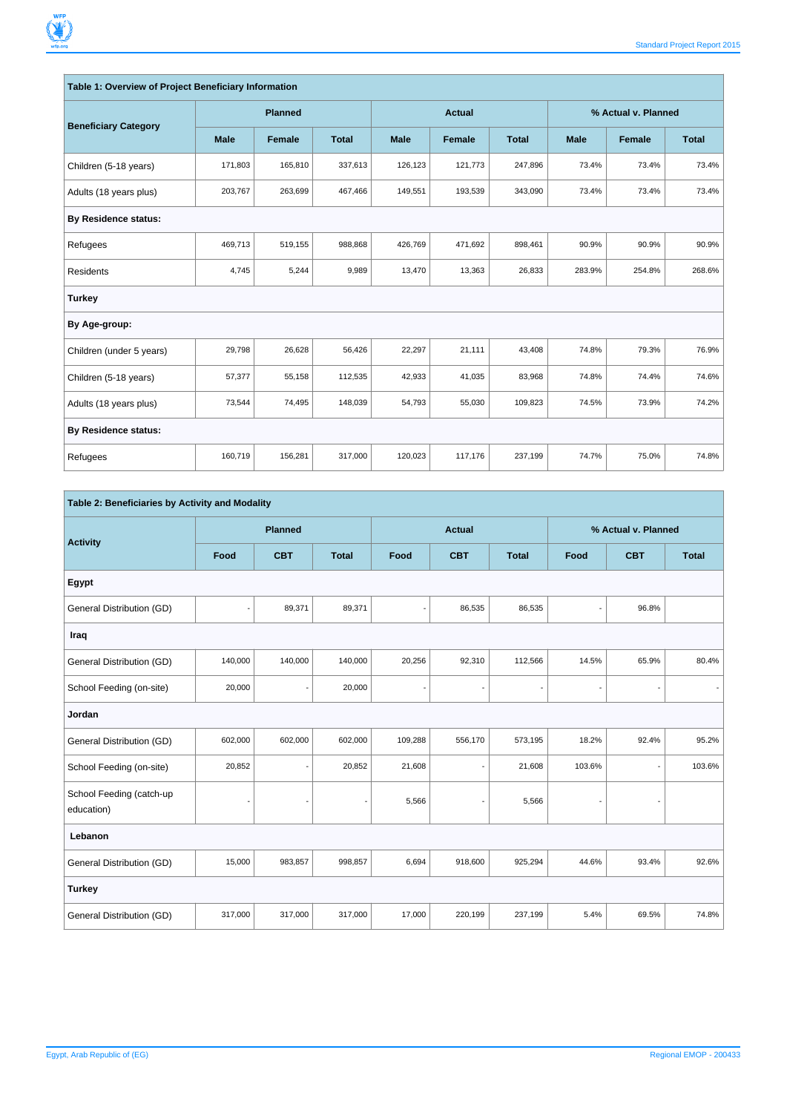| Table 1: Overview of Project Beneficiary Information |             |                |              |               |         |              |                     |               |              |
|------------------------------------------------------|-------------|----------------|--------------|---------------|---------|--------------|---------------------|---------------|--------------|
| <b>Beneficiary Category</b>                          |             | <b>Planned</b> |              | <b>Actual</b> |         |              | % Actual v. Planned |               |              |
|                                                      | <b>Male</b> | Female         | <b>Total</b> | <b>Male</b>   | Female  | <b>Total</b> | <b>Male</b>         | <b>Female</b> | <b>Total</b> |
| Children (5-18 years)                                | 171,803     | 165,810        | 337,613      | 126,123       | 121,773 | 247,896      | 73.4%               | 73.4%         | 73.4%        |
| Adults (18 years plus)                               | 203,767     | 263,699        | 467,466      | 149,551       | 193,539 | 343,090      | 73.4%               | 73.4%         | 73.4%        |
| <b>By Residence status:</b>                          |             |                |              |               |         |              |                     |               |              |
| Refugees                                             | 469,713     | 519,155        | 988,868      | 426,769       | 471,692 | 898,461      | 90.9%               | 90.9%         | 90.9%        |
| <b>Residents</b>                                     | 4,745       | 5,244          | 9,989        | 13,470        | 13,363  | 26,833       | 283.9%              | 254.8%        | 268.6%       |
| <b>Turkey</b>                                        |             |                |              |               |         |              |                     |               |              |
| By Age-group:                                        |             |                |              |               |         |              |                     |               |              |
| Children (under 5 years)                             | 29,798      | 26,628         | 56,426       | 22,297        | 21,111  | 43,408       | 74.8%               | 79.3%         | 76.9%        |
| Children (5-18 years)                                | 57,377      | 55,158         | 112,535      | 42,933        | 41,035  | 83,968       | 74.8%               | 74.4%         | 74.6%        |
| Adults (18 years plus)                               | 73,544      | 74,495         | 148,039      | 54,793        | 55,030  | 109,823      | 74.5%               | 73.9%         | 74.2%        |
| <b>By Residence status:</b>                          |             |                |              |               |         |              |                     |               |              |
| Refugees                                             | 160,719     | 156,281        | 317,000      | 120,023       | 117,176 | 237,199      | 74.7%               | 75.0%         | 74.8%        |

| Table 2: Beneficiaries by Activity and Modality |                              |                          |              |                          |                          |                          |        |                          |              |  |
|-------------------------------------------------|------------------------------|--------------------------|--------------|--------------------------|--------------------------|--------------------------|--------|--------------------------|--------------|--|
|                                                 |                              | <b>Planned</b>           |              |                          | <b>Actual</b>            |                          |        | % Actual v. Planned      |              |  |
| <b>Activity</b>                                 | Food                         | <b>CBT</b>               | <b>Total</b> | Food                     | <b>CBT</b>               | <b>Total</b>             | Food   | <b>CBT</b>               | <b>Total</b> |  |
| Egypt                                           |                              |                          |              |                          |                          |                          |        |                          |              |  |
| General Distribution (GD)                       |                              | 89,371                   | 89,371       |                          | 86,535                   | 86,535                   |        | 96.8%                    |              |  |
| Iraq                                            |                              |                          |              |                          |                          |                          |        |                          |              |  |
| General Distribution (GD)                       | 140,000                      | 140,000                  | 140,000      | 20,256                   | 92,310                   | 112,566                  | 14.5%  | 65.9%                    | 80.4%        |  |
| School Feeding (on-site)                        | 20,000                       | $\overline{\phantom{a}}$ | 20,000       | $\overline{\phantom{a}}$ | $\frac{1}{2}$            | $\overline{\phantom{a}}$ | ÷,     | $\overline{\phantom{a}}$ |              |  |
| Jordan                                          |                              |                          |              |                          |                          |                          |        |                          |              |  |
| General Distribution (GD)                       | 602,000                      | 602,000                  | 602,000      | 109,288                  | 556,170                  | 573,195                  | 18.2%  | 92.4%                    | 95.2%        |  |
| School Feeding (on-site)                        | 20,852                       |                          | 20,852       | 21,608                   | ٠                        | 21,608                   | 103.6% |                          | 103.6%       |  |
| School Feeding (catch-up<br>education)          | $\qquad \qquad \blacksquare$ |                          | ÷,           | 5,566                    | $\overline{\phantom{a}}$ | 5,566                    | ×,     |                          |              |  |
| Lebanon                                         |                              |                          |              |                          |                          |                          |        |                          |              |  |
| General Distribution (GD)                       | 15,000                       | 983,857                  | 998,857      | 6,694                    | 918,600                  | 925,294                  | 44.6%  | 93.4%                    | 92.6%        |  |
| <b>Turkey</b>                                   |                              |                          |              |                          |                          |                          |        |                          |              |  |
| General Distribution (GD)                       | 317,000                      | 317,000                  | 317,000      | 17,000                   | 220,199                  | 237,199                  | 5.4%   | 69.5%                    | 74.8%        |  |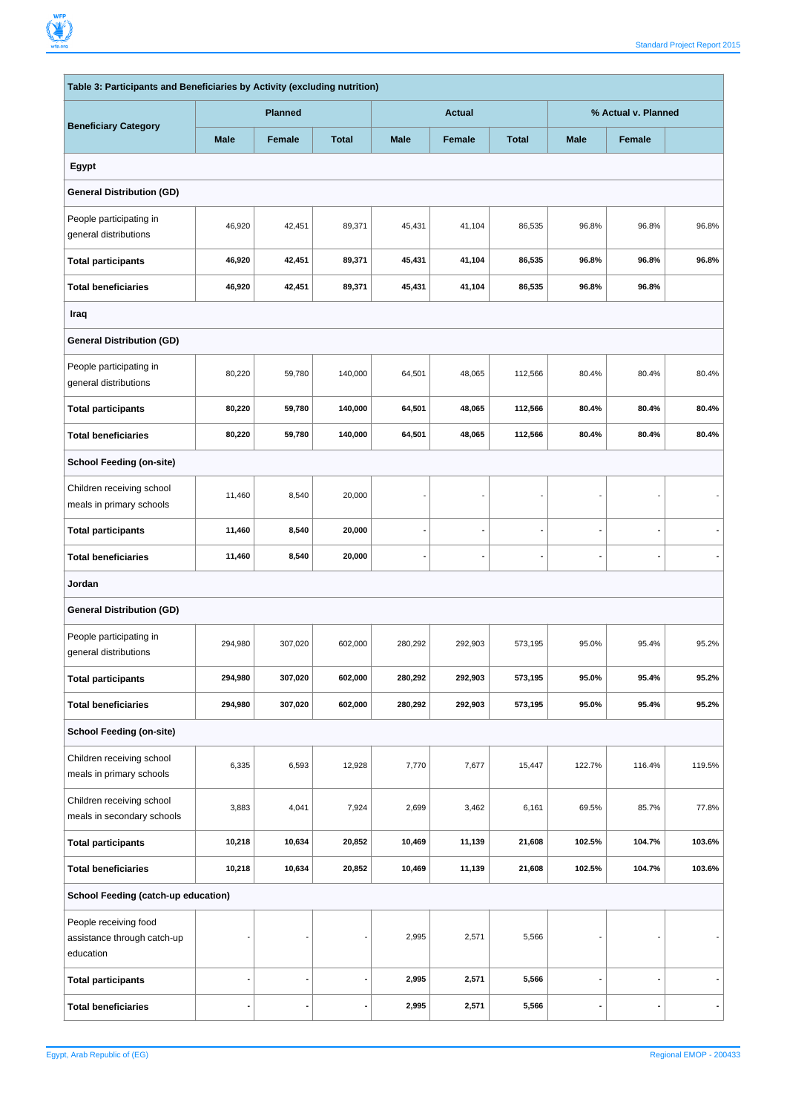F

ń

| Table 3: Participants and Beneficiaries by Activity (excluding nutrition) |                                 |               |              |             |                     |              |             |        |        |
|---------------------------------------------------------------------------|---------------------------------|---------------|--------------|-------------|---------------------|--------------|-------------|--------|--------|
| <b>Beneficiary Category</b>                                               | <b>Planned</b><br><b>Actual</b> |               |              |             | % Actual v. Planned |              |             |        |        |
|                                                                           | <b>Male</b>                     | <b>Female</b> | <b>Total</b> | <b>Male</b> | <b>Female</b>       | <b>Total</b> | <b>Male</b> | Female |        |
| Egypt                                                                     |                                 |               |              |             |                     |              |             |        |        |
| <b>General Distribution (GD)</b>                                          |                                 |               |              |             |                     |              |             |        |        |
| People participating in<br>general distributions                          | 46,920                          | 42,451        | 89,371       | 45,431      | 41,104              | 86,535       | 96.8%       | 96.8%  | 96.8%  |
| <b>Total participants</b>                                                 | 46,920                          | 42,451        | 89,371       | 45,431      | 41,104              | 86,535       | 96.8%       | 96.8%  | 96.8%  |
| <b>Total beneficiaries</b>                                                | 46,920                          | 42,451        | 89,371       | 45,431      | 41,104              | 86,535       | 96.8%       | 96.8%  |        |
| Iraq                                                                      |                                 |               |              |             |                     |              |             |        |        |
| <b>General Distribution (GD)</b>                                          |                                 |               |              |             |                     |              |             |        |        |
| People participating in<br>general distributions                          | 80,220                          | 59,780        | 140,000      | 64,501      | 48,065              | 112,566      | 80.4%       | 80.4%  | 80.4%  |
| <b>Total participants</b>                                                 | 80,220                          | 59,780        | 140,000      | 64,501      | 48,065              | 112,566      | 80.4%       | 80.4%  | 80.4%  |
| <b>Total beneficiaries</b>                                                | 80,220                          | 59,780        | 140,000      | 64,501      | 48,065              | 112,566      | 80.4%       | 80.4%  | 80.4%  |
| <b>School Feeding (on-site)</b>                                           |                                 |               |              |             |                     |              |             |        |        |
| Children receiving school<br>meals in primary schools                     | 11,460                          | 8,540         | 20,000       |             |                     |              |             |        |        |
| <b>Total participants</b>                                                 | 11,460                          | 8,540         | 20,000       |             | ٠                   |              |             |        |        |
| <b>Total beneficiaries</b>                                                | 11,460                          | 8,540         | 20,000       |             | ÷                   |              |             |        |        |
| Jordan                                                                    |                                 |               |              |             |                     |              |             |        |        |
| <b>General Distribution (GD)</b>                                          |                                 |               |              |             |                     |              |             |        |        |
| People participating in<br>general distributions                          | 294,980                         | 307,020       | 602,000      | 280,292     | 292,903             | 573,195      | 95.0%       | 95.4%  | 95.2%  |
| <b>Total participants</b>                                                 | 294,980                         | 307,020       | 602,000      | 280,292     | 292,903             | 573,195      | 95.0%       | 95.4%  | 95.2%  |
| <b>Total beneficiaries</b>                                                | 294,980                         | 307,020       | 602,000      | 280,292     | 292,903             | 573,195      | 95.0%       | 95.4%  | 95.2%  |
| <b>School Feeding (on-site)</b>                                           |                                 |               |              |             |                     |              |             |        |        |
| Children receiving school<br>meals in primary schools                     | 6,335                           | 6,593         | 12,928       | 7,770       | 7,677               | 15,447       | 122.7%      | 116.4% | 119.5% |
| Children receiving school<br>meals in secondary schools                   | 3,883                           | 4,041         | 7,924        | 2,699       | 3,462               | 6,161        | 69.5%       | 85.7%  | 77.8%  |
| <b>Total participants</b>                                                 | 10,218                          | 10,634        | 20,852       | 10,469      | 11,139              | 21,608       | 102.5%      | 104.7% | 103.6% |
| <b>Total beneficiaries</b>                                                | 10,218                          | 10,634        | 20,852       | 10,469      | 11,139              | 21,608       | 102.5%      | 104.7% | 103.6% |
| School Feeding (catch-up education)                                       |                                 |               |              |             |                     |              |             |        |        |
| People receiving food<br>assistance through catch-up<br>education         |                                 |               |              | 2,995       | 2,571               | 5,566        |             |        |        |
| <b>Total participants</b>                                                 |                                 |               |              | 2,995       | 2,571               | 5,566        |             |        |        |
| <b>Total beneficiaries</b>                                                |                                 |               |              | 2,995       | 2,571               | 5,566        |             |        |        |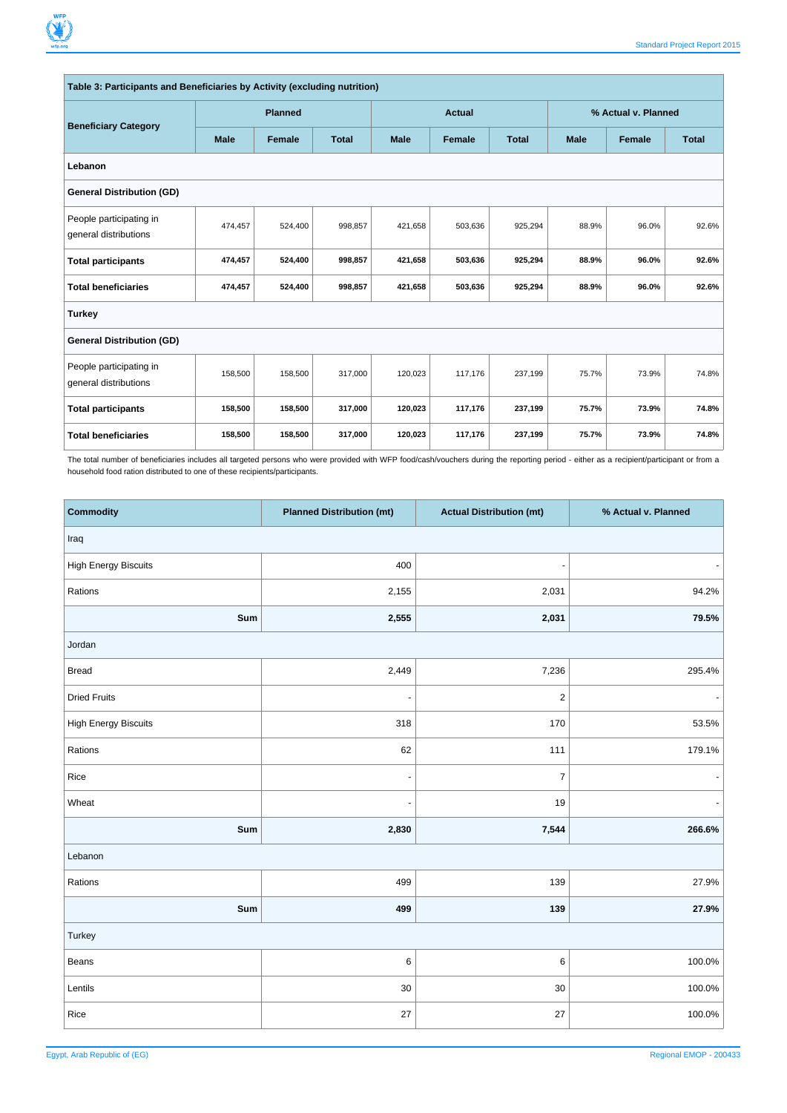|                                                  | Table 3: Participants and Beneficiaries by Activity (excluding nutrition) |                |              |             |               |              |             |                     |              |  |
|--------------------------------------------------|---------------------------------------------------------------------------|----------------|--------------|-------------|---------------|--------------|-------------|---------------------|--------------|--|
| <b>Beneficiary Category</b>                      |                                                                           | <b>Planned</b> |              |             | <b>Actual</b> |              |             | % Actual v. Planned |              |  |
|                                                  | <b>Male</b>                                                               | Female         | <b>Total</b> | <b>Male</b> | Female        | <b>Total</b> | <b>Male</b> | Female              | <b>Total</b> |  |
| Lebanon                                          |                                                                           |                |              |             |               |              |             |                     |              |  |
| <b>General Distribution (GD)</b>                 |                                                                           |                |              |             |               |              |             |                     |              |  |
| People participating in<br>general distributions | 474,457                                                                   | 524,400        | 998,857      | 421,658     | 503,636       | 925,294      | 88.9%       | 96.0%               | 92.6%        |  |
| <b>Total participants</b>                        | 474,457                                                                   | 524,400        | 998,857      | 421,658     | 503,636       | 925,294      | 88.9%       | 96.0%               | 92.6%        |  |
| <b>Total beneficiaries</b>                       | 474,457                                                                   | 524,400        | 998,857      | 421,658     | 503,636       | 925,294      | 88.9%       | 96.0%               | 92.6%        |  |
| <b>Turkey</b>                                    |                                                                           |                |              |             |               |              |             |                     |              |  |
| <b>General Distribution (GD)</b>                 |                                                                           |                |              |             |               |              |             |                     |              |  |
| People participating in<br>general distributions | 158,500                                                                   | 158,500        | 317,000      | 120,023     | 117,176       | 237,199      | 75.7%       | 73.9%               | 74.8%        |  |
| <b>Total participants</b>                        | 158,500                                                                   | 158,500        | 317,000      | 120,023     | 117,176       | 237,199      | 75.7%       | 73.9%               | 74.8%        |  |
| <b>Total beneficiaries</b>                       | 158,500                                                                   | 158,500        | 317,000      | 120,023     | 117,176       | 237,199      | 75.7%       | 73.9%               | 74.8%        |  |

The total number of beneficiaries includes all targeted persons who were provided with WFP food/cash/vouchers during the reporting period - either as a recipient/participant or from a household food ration distributed to one of these recipients/participants.

| <b>Commodity</b>            | <b>Planned Distribution (mt)</b> | <b>Actual Distribution (mt)</b> | % Actual v. Planned |
|-----------------------------|----------------------------------|---------------------------------|---------------------|
| Iraq                        |                                  |                                 |                     |
| <b>High Energy Biscuits</b> | 400                              | ÷,                              |                     |
| Rations                     | 2,155                            | 2,031                           | 94.2%               |
| Sum                         | 2,555                            | 2,031                           | 79.5%               |
| Jordan                      |                                  |                                 |                     |
| <b>Bread</b>                | 2,449                            | 7,236                           | 295.4%              |
| <b>Dried Fruits</b>         |                                  | $\overline{c}$                  |                     |
| <b>High Energy Biscuits</b> | 318                              | 170                             | 53.5%               |
| Rations                     | 62                               | 111                             | 179.1%              |
| Rice                        | $\overline{\phantom{a}}$         | $\overline{7}$                  |                     |
| Wheat                       |                                  | 19                              |                     |
| Sum                         | 2,830                            | 7,544                           | 266.6%              |
| Lebanon                     |                                  |                                 |                     |
| Rations                     | 499                              | 139                             | 27.9%               |
| Sum                         | 499                              | 139                             | 27.9%               |
| Turkey                      |                                  |                                 |                     |
| Beans                       | 6                                | 6                               | 100.0%              |
| Lentils                     | 30                               | $30\,$                          | 100.0%              |
| Rice                        | 27                               | 27                              | 100.0%              |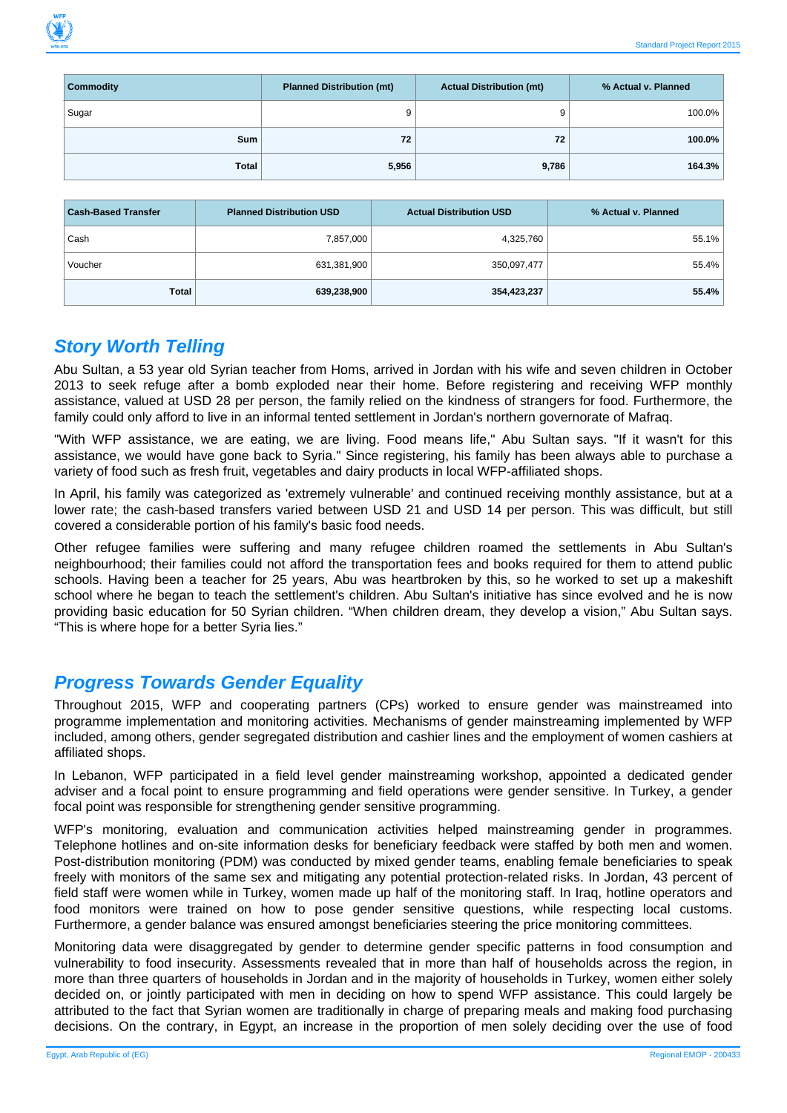| <b>Commodity</b> | <b>Planned Distribution (mt)</b> | <b>Actual Distribution (mt)</b> | % Actual v. Planned |
|------------------|----------------------------------|---------------------------------|---------------------|
| Sugar            |                                  | 9                               | 100.0%              |
| <b>Sum</b>       | 72                               | 72                              | $100.0\%$           |
| <b>Total</b>     | 5,956                            | 9,786                           | 164.3%              |

| <b>Cash-Based Transfer</b> | <b>Planned Distribution USD</b> | <b>Actual Distribution USD</b> | % Actual v. Planned |
|----------------------------|---------------------------------|--------------------------------|---------------------|
| Cash                       | 7,857,000                       | 4,325,760                      | 55.1%               |
| Voucher                    | 631,381,900                     | 350,097,477                    | 55.4%               |
| Total                      | 639,238,900                     | 354,423,237                    | 55.4%               |

#### **Story Worth Telling**

Abu Sultan, a 53 year old Syrian teacher from Homs, arrived in Jordan with his wife and seven children in October 2013 to seek refuge after a bomb exploded near their home. Before registering and receiving WFP monthly assistance, valued at USD 28 per person, the family relied on the kindness of strangers for food. Furthermore, the family could only afford to live in an informal tented settlement in Jordan's northern governorate of Mafraq.

"With WFP assistance, we are eating, we are living. Food means life," Abu Sultan says. "If it wasn't for this assistance, we would have gone back to Syria." Since registering, his family has been always able to purchase a variety of food such as fresh fruit, vegetables and dairy products in local WFP-affiliated shops.

In April, his family was categorized as 'extremely vulnerable' and continued receiving monthly assistance, but at a lower rate; the cash-based transfers varied between USD 21 and USD 14 per person. This was difficult, but still covered a considerable portion of his family's basic food needs.

Other refugee families were suffering and many refugee children roamed the settlements in Abu Sultan's neighbourhood; their families could not afford the transportation fees and books required for them to attend public schools. Having been a teacher for 25 years, Abu was heartbroken by this, so he worked to set up a makeshift school where he began to teach the settlement's children. Abu Sultan's initiative has since evolved and he is now providing basic education for 50 Syrian children. "When children dream, they develop a vision," Abu Sultan says. "This is where hope for a better Syria lies."

#### **Progress Towards Gender Equality**

Throughout 2015, WFP and cooperating partners (CPs) worked to ensure gender was mainstreamed into programme implementation and monitoring activities. Mechanisms of gender mainstreaming implemented by WFP included, among others, gender segregated distribution and cashier lines and the employment of women cashiers at affiliated shops.

In Lebanon, WFP participated in a field level gender mainstreaming workshop, appointed a dedicated gender adviser and a focal point to ensure programming and field operations were gender sensitive. In Turkey, a gender focal point was responsible for strengthening gender sensitive programming.

WFP's monitoring, evaluation and communication activities helped mainstreaming gender in programmes. Telephone hotlines and on-site information desks for beneficiary feedback were staffed by both men and women. Post-distribution monitoring (PDM) was conducted by mixed gender teams, enabling female beneficiaries to speak freely with monitors of the same sex and mitigating any potential protection-related risks. In Jordan, 43 percent of field staff were women while in Turkey, women made up half of the monitoring staff. In Iraq, hotline operators and food monitors were trained on how to pose gender sensitive questions, while respecting local customs. Furthermore, a gender balance was ensured amongst beneficiaries steering the price monitoring committees.

Monitoring data were disaggregated by gender to determine gender specific patterns in food consumption and vulnerability to food insecurity. Assessments revealed that in more than half of households across the region, in more than three quarters of households in Jordan and in the majority of households in Turkey, women either solely decided on, or jointly participated with men in deciding on how to spend WFP assistance. This could largely be attributed to the fact that Syrian women are traditionally in charge of preparing meals and making food purchasing decisions. On the contrary, in Egypt, an increase in the proportion of men solely deciding over the use of food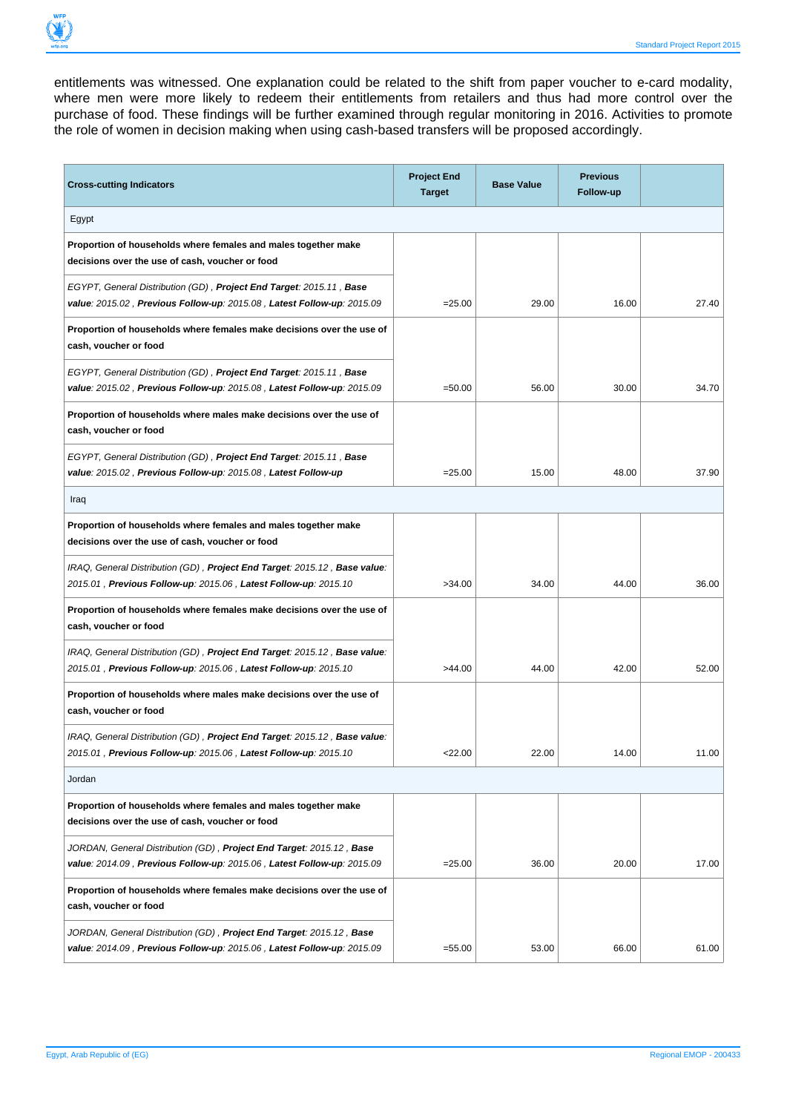entitlements was witnessed. One explanation could be related to the shift from paper voucher to e-card modality, where men were more likely to redeem their entitlements from retailers and thus had more control over the purchase of food. These findings will be further examined through regular monitoring in 2016. Activities to promote the role of women in decision making when using cash-based transfers will be proposed accordingly.

| <b>Cross-cutting Indicators</b>                                                                                                                  | <b>Project End</b><br><b>Target</b> | <b>Base Value</b> | <b>Previous</b><br>Follow-up |       |  |
|--------------------------------------------------------------------------------------------------------------------------------------------------|-------------------------------------|-------------------|------------------------------|-------|--|
| Egypt                                                                                                                                            |                                     |                   |                              |       |  |
| Proportion of households where females and males together make<br>decisions over the use of cash, voucher or food                                |                                     |                   |                              |       |  |
| EGYPT, General Distribution (GD), Project End Target: 2015.11, Base<br>value: 2015.02, Previous Follow-up: 2015.08, Latest Follow-up: 2015.09    | $= 25.00$                           | 29.00             | 16.00                        | 27.40 |  |
| Proportion of households where females make decisions over the use of<br>cash, voucher or food                                                   |                                     |                   |                              |       |  |
| EGYPT, General Distribution (GD), Project End Target: 2015.11, Base<br>value: 2015.02, Previous Follow-up: 2015.08, Latest Follow-up: 2015.09    | $= 50.00$                           | 56.00             | 30.00                        | 34.70 |  |
| Proportion of households where males make decisions over the use of<br>cash, voucher or food                                                     |                                     |                   |                              |       |  |
| EGYPT, General Distribution (GD), Project End Target: 2015.11, Base<br>value: 2015.02, Previous Follow-up: 2015.08, Latest Follow-up             | $= 25.00$                           | 15.00             | 48.00                        | 37.90 |  |
| Iraq                                                                                                                                             |                                     |                   |                              |       |  |
| Proportion of households where females and males together make<br>decisions over the use of cash, voucher or food                                |                                     |                   |                              |       |  |
| IRAQ, General Distribution (GD), Project End Target: 2015.12, Base value:<br>2015.01, Previous Follow-up: 2015.06, Latest Follow-up: 2015.10     | >34.00                              | 34.00             | 44.00                        | 36.00 |  |
| Proportion of households where females make decisions over the use of<br>cash, voucher or food                                                   |                                     |                   |                              |       |  |
| IRAQ, General Distribution (GD), Project End Target: 2015.12, Base value:<br>2015.01, Previous Follow-up: 2015.06, Latest Follow-up: 2015.10     | >44.00                              | 44.00             | 42.00                        | 52.00 |  |
| Proportion of households where males make decisions over the use of<br>cash, voucher or food                                                     |                                     |                   |                              |       |  |
| IRAQ, General Distribution (GD), Project End Target: 2015.12, Base value:<br>2015.01, Previous Follow-up: 2015.06, Latest Follow-up: 2015.10     | 22.00                               | 22.00             | 14.00                        | 11.00 |  |
| Jordan                                                                                                                                           |                                     |                   |                              |       |  |
| Proportion of households where females and males together make<br>decisions over the use of cash, voucher or food                                |                                     |                   |                              |       |  |
| JORDAN, General Distribution (GD), Project End Target: 2015.12, Base<br>value: 2014.09 , Previous Follow-up: 2015.06 , Latest Follow-up: 2015.09 | $= 25.00$                           | 36.00             | 20.00                        | 17.00 |  |
| Proportion of households where females make decisions over the use of<br>cash, voucher or food                                                   |                                     |                   |                              |       |  |
| JORDAN, General Distribution (GD), Project End Target: 2015.12, Base<br>value: 2014.09, Previous Follow-up: 2015.06, Latest Follow-up: 2015.09   | $= 55.00$                           | 53.00             | 66.00                        | 61.00 |  |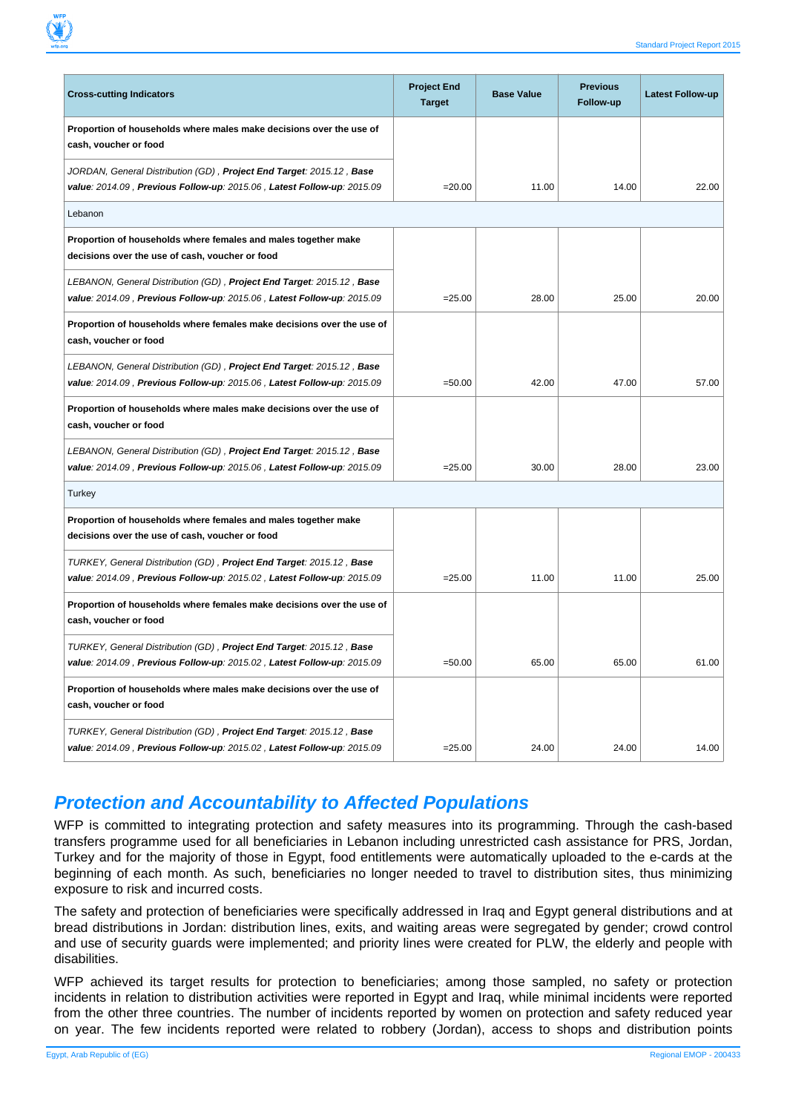| <b>Cross-cutting Indicators</b>                                                                                                                 | <b>Project End</b><br><b>Target</b> | <b>Base Value</b> | <b>Previous</b><br>Follow-up | <b>Latest Follow-up</b> |
|-------------------------------------------------------------------------------------------------------------------------------------------------|-------------------------------------|-------------------|------------------------------|-------------------------|
| Proportion of households where males make decisions over the use of<br>cash, voucher or food                                                    |                                     |                   |                              |                         |
| JORDAN, General Distribution (GD), Project End Target: 2015.12, Base<br>value: 2014.09, Previous Follow-up: 2015.06, Latest Follow-up: 2015.09  | $= 20.00$                           | 11.00             | 14.00                        | 22.00                   |
| Lebanon                                                                                                                                         |                                     |                   |                              |                         |
| Proportion of households where females and males together make<br>decisions over the use of cash, voucher or food                               |                                     |                   |                              |                         |
| LEBANON, General Distribution (GD), Project End Target: 2015.12, Base<br>value: 2014.09, Previous Follow-up: 2015.06, Latest Follow-up: 2015.09 | $= 25.00$                           | 28.00             | 25.00                        | 20.00                   |
| Proportion of households where females make decisions over the use of<br>cash, voucher or food                                                  |                                     |                   |                              |                         |
| LEBANON, General Distribution (GD), Project End Target: 2015.12, Base<br>value: 2014.09, Previous Follow-up: 2015.06, Latest Follow-up: 2015.09 | $=50.00$                            | 42.00             | 47.00                        | 57.00                   |
| Proportion of households where males make decisions over the use of<br>cash, voucher or food                                                    |                                     |                   |                              |                         |
| LEBANON, General Distribution (GD), Project End Target: 2015.12, Base<br>value: 2014.09, Previous Follow-up: 2015.06, Latest Follow-up: 2015.09 | $= 25.00$                           | 30.00             | 28.00                        | 23.00                   |
| Turkey                                                                                                                                          |                                     |                   |                              |                         |
| Proportion of households where females and males together make<br>decisions over the use of cash, voucher or food                               |                                     |                   |                              |                         |
| TURKEY, General Distribution (GD), Project End Target: 2015.12, Base<br>value: 2014.09, Previous Follow-up: 2015.02, Latest Follow-up: 2015.09  | $= 25.00$                           | 11.00             | 11.00                        | 25.00                   |
| Proportion of households where females make decisions over the use of<br>cash, voucher or food                                                  |                                     |                   |                              |                         |
| TURKEY, General Distribution (GD), Project End Target: 2015.12, Base<br>value: 2014.09, Previous Follow-up: 2015.02, Latest Follow-up: 2015.09  | $=50.00$                            | 65.00             | 65.00                        | 61.00                   |
| Proportion of households where males make decisions over the use of<br>cash, voucher or food                                                    |                                     |                   |                              |                         |
| TURKEY, General Distribution (GD), Project End Target: 2015.12, Base<br>value: 2014.09, Previous Follow-up: 2015.02, Latest Follow-up: 2015.09  | $= 25.00$                           | 24.00             | 24.00                        | 14.00                   |

#### **Protection and Accountability to Affected Populations**

WFP is committed to integrating protection and safety measures into its programming. Through the cash-based transfers programme used for all beneficiaries in Lebanon including unrestricted cash assistance for PRS, Jordan, Turkey and for the majority of those in Egypt, food entitlements were automatically uploaded to the e-cards at the beginning of each month. As such, beneficiaries no longer needed to travel to distribution sites, thus minimizing exposure to risk and incurred costs.

The safety and protection of beneficiaries were specifically addressed in Iraq and Egypt general distributions and at bread distributions in Jordan: distribution lines, exits, and waiting areas were segregated by gender; crowd control and use of security guards were implemented; and priority lines were created for PLW, the elderly and people with disabilities.

WFP achieved its target results for protection to beneficiaries; among those sampled, no safety or protection incidents in relation to distribution activities were reported in Egypt and Iraq, while minimal incidents were reported from the other three countries. The number of incidents reported by women on protection and safety reduced year on year. The few incidents reported were related to robbery (Jordan), access to shops and distribution points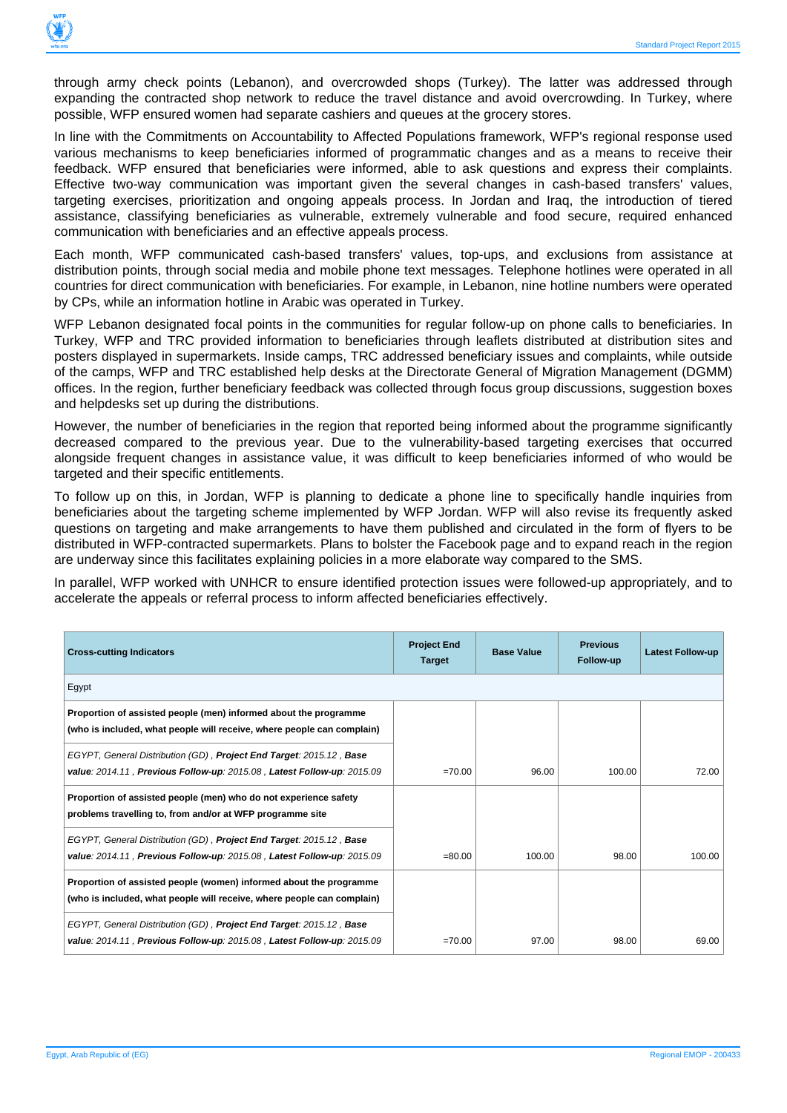

through army check points (Lebanon), and overcrowded shops (Turkey). The latter was addressed through expanding the contracted shop network to reduce the travel distance and avoid overcrowding. In Turkey, where possible, WFP ensured women had separate cashiers and queues at the grocery stores.

In line with the Commitments on Accountability to Affected Populations framework, WFP's regional response used various mechanisms to keep beneficiaries informed of programmatic changes and as a means to receive their feedback. WFP ensured that beneficiaries were informed, able to ask questions and express their complaints. Effective two-way communication was important given the several changes in cash-based transfers' values, targeting exercises, prioritization and ongoing appeals process. In Jordan and Iraq, the introduction of tiered assistance, classifying beneficiaries as vulnerable, extremely vulnerable and food secure, required enhanced communication with beneficiaries and an effective appeals process.

Each month, WFP communicated cash-based transfers' values, top-ups, and exclusions from assistance at distribution points, through social media and mobile phone text messages. Telephone hotlines were operated in all countries for direct communication with beneficiaries. For example, in Lebanon, nine hotline numbers were operated by CPs, while an information hotline in Arabic was operated in Turkey.

WFP Lebanon designated focal points in the communities for regular follow-up on phone calls to beneficiaries. In Turkey, WFP and TRC provided information to beneficiaries through leaflets distributed at distribution sites and posters displayed in supermarkets. Inside camps, TRC addressed beneficiary issues and complaints, while outside of the camps, WFP and TRC established help desks at the Directorate General of Migration Management (DGMM) offices. In the region, further beneficiary feedback was collected through focus group discussions, suggestion boxes and helpdesks set up during the distributions.

However, the number of beneficiaries in the region that reported being informed about the programme significantly decreased compared to the previous year. Due to the vulnerability-based targeting exercises that occurred alongside frequent changes in assistance value, it was difficult to keep beneficiaries informed of who would be targeted and their specific entitlements.

To follow up on this, in Jordan, WFP is planning to dedicate a phone line to specifically handle inquiries from beneficiaries about the targeting scheme implemented by WFP Jordan. WFP will also revise its frequently asked questions on targeting and make arrangements to have them published and circulated in the form of flyers to be distributed in WFP-contracted supermarkets. Plans to bolster the Facebook page and to expand reach in the region are underway since this facilitates explaining policies in a more elaborate way compared to the SMS.

In parallel, WFP worked with UNHCR to ensure identified protection issues were followed-up appropriately, and to accelerate the appeals or referral process to inform affected beneficiaries effectively.

| <b>Cross-cutting Indicators</b>                                                                                                               | <b>Project End</b><br><b>Target</b> | <b>Base Value</b> | <b>Previous</b><br>Follow-up | <b>Latest Follow-up</b> |
|-----------------------------------------------------------------------------------------------------------------------------------------------|-------------------------------------|-------------------|------------------------------|-------------------------|
| Egypt                                                                                                                                         |                                     |                   |                              |                         |
| Proportion of assisted people (men) informed about the programme<br>(who is included, what people will receive, where people can complain)    |                                     |                   |                              |                         |
| EGYPT, General Distribution (GD), Project End Target: 2015.12, Base<br>value: 2014.11, Previous Follow-up: 2015.08, Latest Follow-up: 2015.09 | $=70.00$                            | 96.00             | 100.00                       | 72.00                   |
| Proportion of assisted people (men) who do not experience safety<br>problems travelling to, from and/or at WFP programme site                 |                                     |                   |                              |                         |
| EGYPT, General Distribution (GD), Project End Target: 2015.12, Base<br>value: 2014.11, Previous Follow-up: 2015.08, Latest Follow-up: 2015.09 | $= 80.00$                           | 100.00            | 98.00                        | 100.00                  |
| Proportion of assisted people (women) informed about the programme<br>(who is included, what people will receive, where people can complain)  |                                     |                   |                              |                         |
| EGYPT, General Distribution (GD), Project End Target: 2015.12, Base<br>value: 2014.11, Previous Follow-up: 2015.08, Latest Follow-up: 2015.09 | $=70.00$                            | 97.00             | 98.00                        | 69.00                   |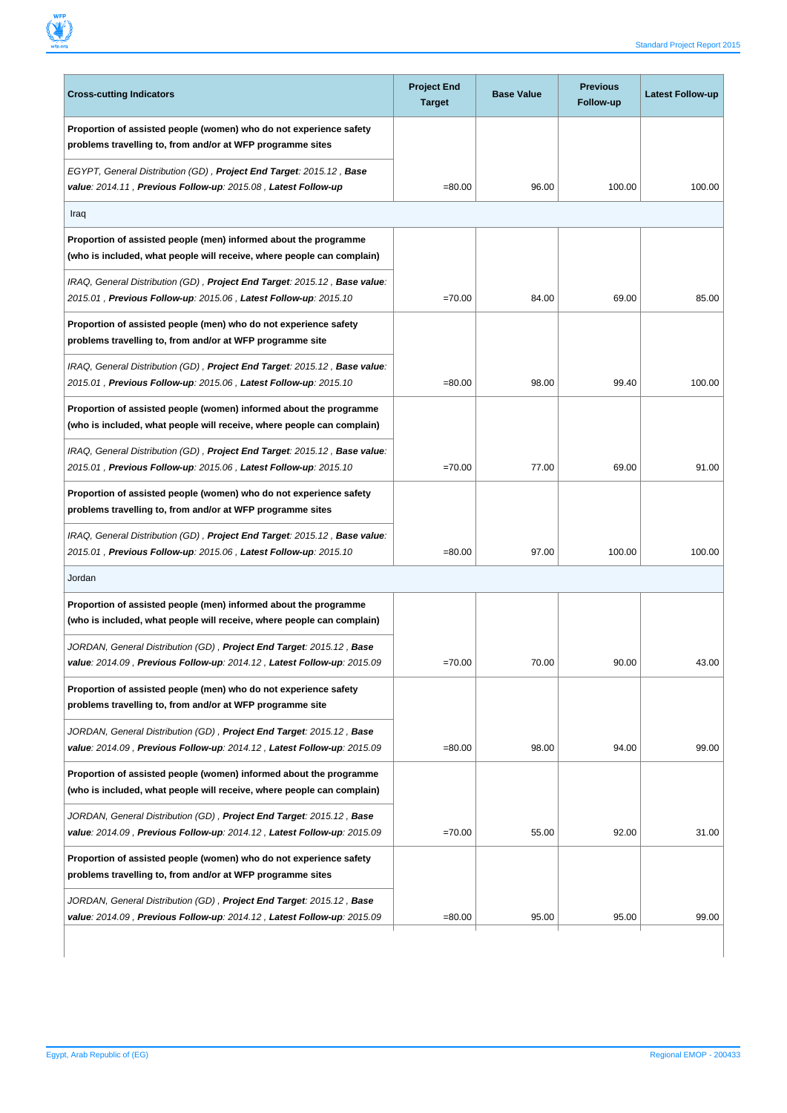

| <b>Cross-cutting Indicators</b>                                                                                                                | <b>Project End</b><br><b>Target</b> | <b>Base Value</b> | <b>Previous</b><br>Follow-up | Latest Follow-up |
|------------------------------------------------------------------------------------------------------------------------------------------------|-------------------------------------|-------------------|------------------------------|------------------|
| Proportion of assisted people (women) who do not experience safety<br>problems travelling to, from and/or at WFP programme sites               |                                     |                   |                              |                  |
| EGYPT, General Distribution (GD), Project End Target: 2015.12, Base<br>value: 2014.11, Previous Follow-up: 2015.08, Latest Follow-up           | $= 80.00$                           | 96.00             | 100.00                       | 100.00           |
| Iraq                                                                                                                                           |                                     |                   |                              |                  |
| Proportion of assisted people (men) informed about the programme<br>(who is included, what people will receive, where people can complain)     |                                     |                   |                              |                  |
| IRAQ, General Distribution (GD), Project End Target: 2015.12, Base value:<br>2015.01, Previous Follow-up: 2015.06, Latest Follow-up: 2015.10   | $=70.00$                            | 84.00             | 69.00                        | 85.00            |
| Proportion of assisted people (men) who do not experience safety<br>problems travelling to, from and/or at WFP programme site                  |                                     |                   |                              |                  |
| IRAQ, General Distribution (GD), Project End Target: 2015.12, Base value:<br>2015.01, Previous Follow-up: 2015.06, Latest Follow-up: 2015.10   | $= 80.00$                           | 98.00             | 99.40                        | 100.00           |
| Proportion of assisted people (women) informed about the programme<br>(who is included, what people will receive, where people can complain)   |                                     |                   |                              |                  |
| IRAQ, General Distribution (GD), Project End Target: 2015.12, Base value:<br>2015.01, Previous Follow-up: 2015.06, Latest Follow-up: 2015.10   | $=70.00$                            | 77.00             | 69.00                        | 91.00            |
| Proportion of assisted people (women) who do not experience safety<br>problems travelling to, from and/or at WFP programme sites               |                                     |                   |                              |                  |
| IRAQ, General Distribution (GD), Project End Target: 2015.12, Base value:<br>2015.01, Previous Follow-up: 2015.06, Latest Follow-up: 2015.10   | $= 80.00$                           | 97.00             | 100.00                       | 100.00           |
| Jordan                                                                                                                                         |                                     |                   |                              |                  |
| Proportion of assisted people (men) informed about the programme<br>(who is included, what people will receive, where people can complain)     |                                     |                   |                              |                  |
| JORDAN, General Distribution (GD), Project End Target: 2015.12, Base<br>value: 2014.09, Previous Follow-up: 2014.12, Latest Follow-up: 2015.09 | $=70.00$                            | 70.00             | 90.00                        | 43.00            |
| Proportion of assisted people (men) who do not experience safety<br>problems travelling to, from and/or at WFP programme site                  |                                     |                   |                              |                  |
| JORDAN, General Distribution (GD), Project End Target: 2015.12, Base<br>value: 2014.09, Previous Follow-up: 2014.12, Latest Follow-up: 2015.09 | $= 80.00$                           | 98.00             | 94.00                        | 99.00            |
| Proportion of assisted people (women) informed about the programme<br>(who is included, what people will receive, where people can complain)   |                                     |                   |                              |                  |
| JORDAN, General Distribution (GD), Project End Target: 2015.12, Base<br>value: 2014.09, Previous Follow-up: 2014.12, Latest Follow-up: 2015.09 | $=70.00$                            | 55.00             | 92.00                        | 31.00            |
| Proportion of assisted people (women) who do not experience safety<br>problems travelling to, from and/or at WFP programme sites               |                                     |                   |                              |                  |
| JORDAN, General Distribution (GD), Project End Target: 2015.12, Base<br>value: 2014.09, Previous Follow-up: 2014.12, Latest Follow-up: 2015.09 | $= 80.00$                           | 95.00             | 95.00                        | 99.00            |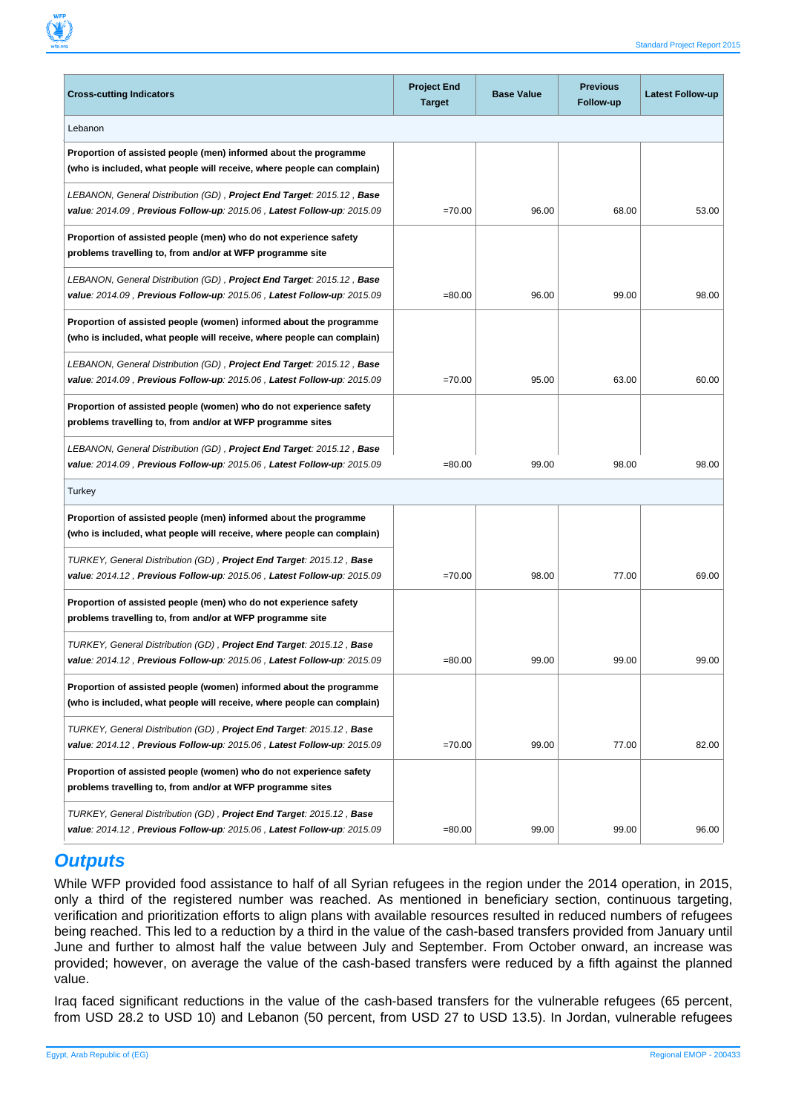| <b>Cross-cutting Indicators</b>                                                                                                                   | <b>Project End</b><br><b>Target</b> | <b>Base Value</b> | <b>Previous</b><br>Follow-up | <b>Latest Follow-up</b> |
|---------------------------------------------------------------------------------------------------------------------------------------------------|-------------------------------------|-------------------|------------------------------|-------------------------|
| Lebanon                                                                                                                                           |                                     |                   |                              |                         |
| Proportion of assisted people (men) informed about the programme<br>(who is included, what people will receive, where people can complain)        |                                     |                   |                              |                         |
| LEBANON, General Distribution (GD), Project End Target: 2015.12, Base<br>value: 2014.09 , Previous Follow-up: 2015.06 , Latest Follow-up: 2015.09 | $=70.00$                            | 96.00             | 68.00                        | 53.00                   |
| Proportion of assisted people (men) who do not experience safety<br>problems travelling to, from and/or at WFP programme site                     |                                     |                   |                              |                         |
| LEBANON, General Distribution (GD), Project End Target: 2015.12, Base<br>value: 2014.09, Previous Follow-up: 2015.06, Latest Follow-up: 2015.09   | $= 80.00$                           | 96.00             | 99.00                        | 98.00                   |
| Proportion of assisted people (women) informed about the programme<br>(who is included, what people will receive, where people can complain)      |                                     |                   |                              |                         |
| LEBANON, General Distribution (GD), Project End Target: 2015.12, Base<br>value: 2014.09, Previous Follow-up: 2015.06, Latest Follow-up: 2015.09   | $=70.00$                            | 95.00             | 63.00                        | 60.00                   |
| Proportion of assisted people (women) who do not experience safety<br>problems travelling to, from and/or at WFP programme sites                  |                                     |                   |                              |                         |
| LEBANON, General Distribution (GD), Project End Target: 2015.12, Base<br>value: 2014.09, Previous Follow-up: 2015.06, Latest Follow-up: 2015.09   | $= 80.00$                           | 99.00             | 98.00                        | 98.00                   |
| Turkey                                                                                                                                            |                                     |                   |                              |                         |
| Proportion of assisted people (men) informed about the programme<br>(who is included, what people will receive, where people can complain)        |                                     |                   |                              |                         |
| TURKEY, General Distribution (GD), Project End Target: 2015.12, Base<br>value: 2014.12, Previous Follow-up: 2015.06, Latest Follow-up: 2015.09    | $=70.00$                            | 98.00             | 77.00                        | 69.00                   |
| Proportion of assisted people (men) who do not experience safety<br>problems travelling to, from and/or at WFP programme site                     |                                     |                   |                              |                         |
| TURKEY, General Distribution (GD), Project End Target: 2015.12, Base<br>value: 2014.12, Previous Follow-up: 2015.06, Latest Follow-up: 2015.09    | $= 80.00$                           | 99.00             | 99.00                        | 99.00                   |
| Proportion of assisted people (women) informed about the programme<br>(who is included, what people will receive, where people can complain)      |                                     |                   |                              |                         |
| TURKEY, General Distribution (GD), Project End Target: 2015.12, Base<br>value: 2014.12, Previous Follow-up: 2015.06, Latest Follow-up: 2015.09    | $=70.00$                            | 99.00             | 77.00                        | 82.00                   |
| Proportion of assisted people (women) who do not experience safety<br>problems travelling to, from and/or at WFP programme sites                  |                                     |                   |                              |                         |
| TURKEY, General Distribution (GD), Project End Target: 2015.12, Base<br>value: 2014.12, Previous Follow-up: 2015.06, Latest Follow-up: 2015.09    | $= 80.00$                           | 99.00             | 99.00                        | 96.00                   |

#### **Outputs**

While WFP provided food assistance to half of all Syrian refugees in the region under the 2014 operation, in 2015, only a third of the registered number was reached. As mentioned in beneficiary section, continuous targeting, verification and prioritization efforts to align plans with available resources resulted in reduced numbers of refugees being reached. This led to a reduction by a third in the value of the cash-based transfers provided from January until June and further to almost half the value between July and September. From October onward, an increase was provided; however, on average the value of the cash-based transfers were reduced by a fifth against the planned value.

Iraq faced significant reductions in the value of the cash-based transfers for the vulnerable refugees (65 percent, from USD 28.2 to USD 10) and Lebanon (50 percent, from USD 27 to USD 13.5). In Jordan, vulnerable refugees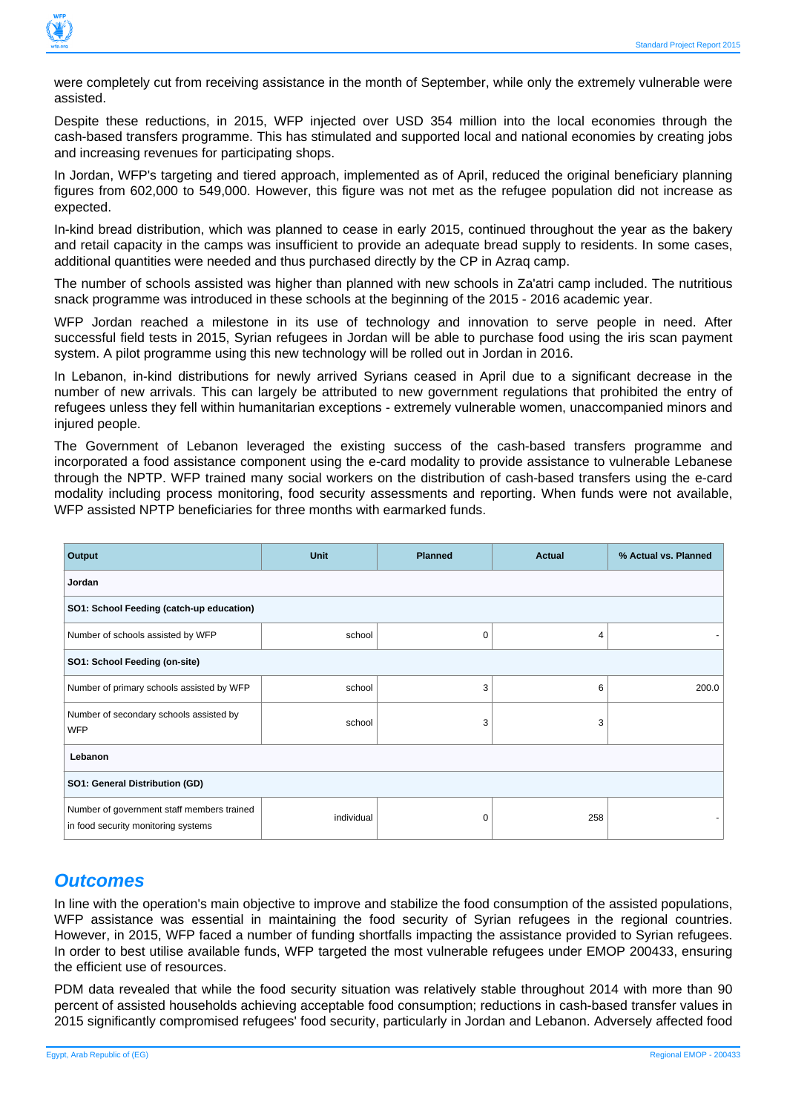

were completely cut from receiving assistance in the month of September, while only the extremely vulnerable were assisted.

Despite these reductions, in 2015, WFP injected over USD 354 million into the local economies through the cash-based transfers programme. This has stimulated and supported local and national economies by creating jobs and increasing revenues for participating shops.

In Jordan, WFP's targeting and tiered approach, implemented as of April, reduced the original beneficiary planning figures from 602,000 to 549,000. However, this figure was not met as the refugee population did not increase as expected.

In-kind bread distribution, which was planned to cease in early 2015, continued throughout the year as the bakery and retail capacity in the camps was insufficient to provide an adequate bread supply to residents. In some cases, additional quantities were needed and thus purchased directly by the CP in Azraq camp.

The number of schools assisted was higher than planned with new schools in Za'atri camp included. The nutritious snack programme was introduced in these schools at the beginning of the 2015 - 2016 academic year.

WFP Jordan reached a milestone in its use of technology and innovation to serve people in need. After successful field tests in 2015, Syrian refugees in Jordan will be able to purchase food using the iris scan payment system. A pilot programme using this new technology will be rolled out in Jordan in 2016.

In Lebanon, in-kind distributions for newly arrived Syrians ceased in April due to a significant decrease in the number of new arrivals. This can largely be attributed to new government regulations that prohibited the entry of refugees unless they fell within humanitarian exceptions - extremely vulnerable women, unaccompanied minors and injured people.

The Government of Lebanon leveraged the existing success of the cash-based transfers programme and incorporated a food assistance component using the e-card modality to provide assistance to vulnerable Lebanese through the NPTP. WFP trained many social workers on the distribution of cash-based transfers using the e-card modality including process monitoring, food security assessments and reporting. When funds were not available, WFP assisted NPTP beneficiaries for three months with earmarked funds.

| Output                                                                            | <b>Unit</b> | <b>Planned</b> | Actual | % Actual vs. Planned |
|-----------------------------------------------------------------------------------|-------------|----------------|--------|----------------------|
| Jordan                                                                            |             |                |        |                      |
| SO1: School Feeding (catch-up education)                                          |             |                |        |                      |
| Number of schools assisted by WFP                                                 | school      | 0              | 4      |                      |
| SO1: School Feeding (on-site)                                                     |             |                |        |                      |
| Number of primary schools assisted by WFP                                         | school      | 3              | 6      | 200.0                |
| Number of secondary schools assisted by<br><b>WFP</b>                             | school      | 3              | 3      |                      |
| Lebanon                                                                           |             |                |        |                      |
| SO1: General Distribution (GD)                                                    |             |                |        |                      |
| Number of government staff members trained<br>in food security monitoring systems | individual  | 0              | 258    |                      |

#### **Outcomes**

In line with the operation's main objective to improve and stabilize the food consumption of the assisted populations, WFP assistance was essential in maintaining the food security of Syrian refugees in the regional countries. However, in 2015, WFP faced a number of funding shortfalls impacting the assistance provided to Syrian refugees. In order to best utilise available funds, WFP targeted the most vulnerable refugees under EMOP 200433, ensuring the efficient use of resources.

PDM data revealed that while the food security situation was relatively stable throughout 2014 with more than 90 percent of assisted households achieving acceptable food consumption; reductions in cash-based transfer values in 2015 significantly compromised refugees' food security, particularly in Jordan and Lebanon. Adversely affected food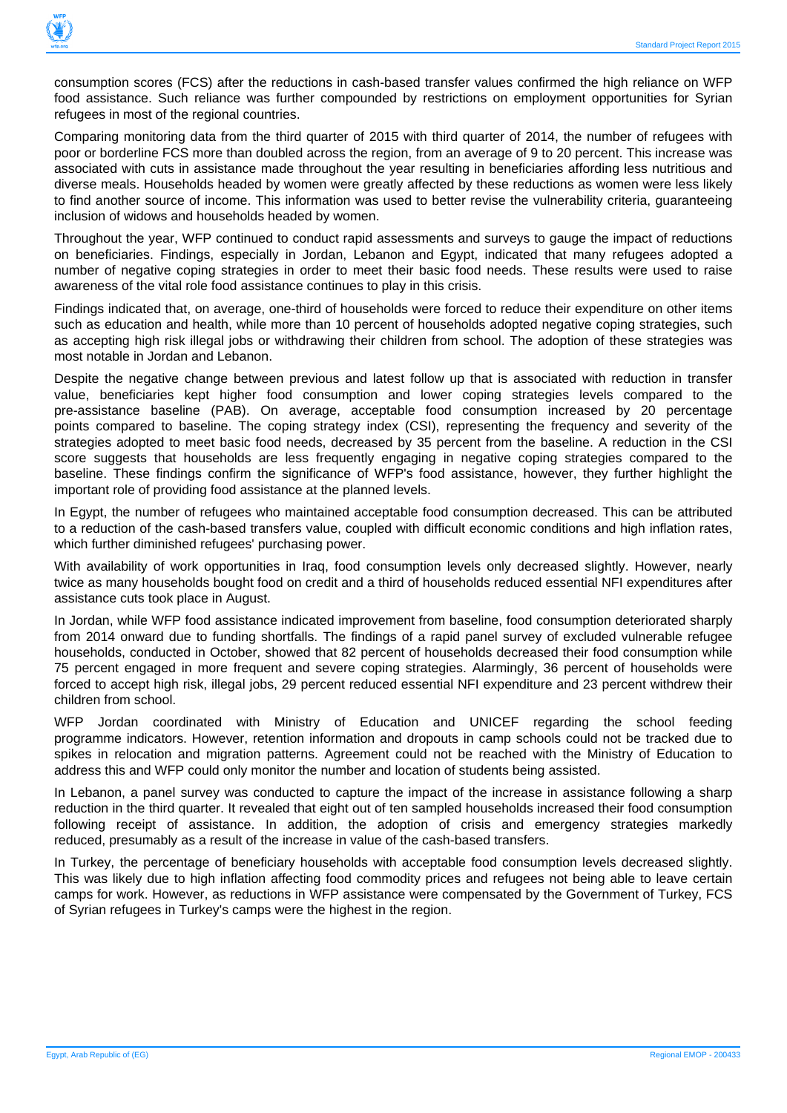

consumption scores (FCS) after the reductions in cash-based transfer values confirmed the high reliance on WFP food assistance. Such reliance was further compounded by restrictions on employment opportunities for Syrian refugees in most of the regional countries.

Comparing monitoring data from the third quarter of 2015 with third quarter of 2014, the number of refugees with poor or borderline FCS more than doubled across the region, from an average of 9 to 20 percent. This increase was associated with cuts in assistance made throughout the year resulting in beneficiaries affording less nutritious and diverse meals. Households headed by women were greatly affected by these reductions as women were less likely to find another source of income. This information was used to better revise the vulnerability criteria, guaranteeing inclusion of widows and households headed by women.

Throughout the year, WFP continued to conduct rapid assessments and surveys to gauge the impact of reductions on beneficiaries. Findings, especially in Jordan, Lebanon and Egypt, indicated that many refugees adopted a number of negative coping strategies in order to meet their basic food needs. These results were used to raise awareness of the vital role food assistance continues to play in this crisis.

Findings indicated that, on average, one-third of households were forced to reduce their expenditure on other items such as education and health, while more than 10 percent of households adopted negative coping strategies, such as accepting high risk illegal jobs or withdrawing their children from school. The adoption of these strategies was most notable in Jordan and Lebanon.

Despite the negative change between previous and latest follow up that is associated with reduction in transfer value, beneficiaries kept higher food consumption and lower coping strategies levels compared to the pre-assistance baseline (PAB). On average, acceptable food consumption increased by 20 percentage points compared to baseline. The coping strategy index (CSI), representing the frequency and severity of the strategies adopted to meet basic food needs, decreased by 35 percent from the baseline. A reduction in the CSI score suggests that households are less frequently engaging in negative coping strategies compared to the baseline. These findings confirm the significance of WFP's food assistance, however, they further highlight the important role of providing food assistance at the planned levels.

In Egypt, the number of refugees who maintained acceptable food consumption decreased. This can be attributed to a reduction of the cash-based transfers value, coupled with difficult economic conditions and high inflation rates, which further diminished refugees' purchasing power.

With availability of work opportunities in Iraq, food consumption levels only decreased slightly. However, nearly twice as many households bought food on credit and a third of households reduced essential NFI expenditures after assistance cuts took place in August.

In Jordan, while WFP food assistance indicated improvement from baseline, food consumption deteriorated sharply from 2014 onward due to funding shortfalls. The findings of a rapid panel survey of excluded vulnerable refugee households, conducted in October, showed that 82 percent of households decreased their food consumption while 75 percent engaged in more frequent and severe coping strategies. Alarmingly, 36 percent of households were forced to accept high risk, illegal jobs, 29 percent reduced essential NFI expenditure and 23 percent withdrew their children from school.

WFP Jordan coordinated with Ministry of Education and UNICEF regarding the school feeding programme indicators. However, retention information and dropouts in camp schools could not be tracked due to spikes in relocation and migration patterns. Agreement could not be reached with the Ministry of Education to address this and WFP could only monitor the number and location of students being assisted.

In Lebanon, a panel survey was conducted to capture the impact of the increase in assistance following a sharp reduction in the third quarter. It revealed that eight out of ten sampled households increased their food consumption following receipt of assistance. In addition, the adoption of crisis and emergency strategies markedly reduced, presumably as a result of the increase in value of the cash-based transfers.

In Turkey, the percentage of beneficiary households with acceptable food consumption levels decreased slightly. This was likely due to high inflation affecting food commodity prices and refugees not being able to leave certain camps for work. However, as reductions in WFP assistance were compensated by the Government of Turkey, FCS of Syrian refugees in Turkey's camps were the highest in the region.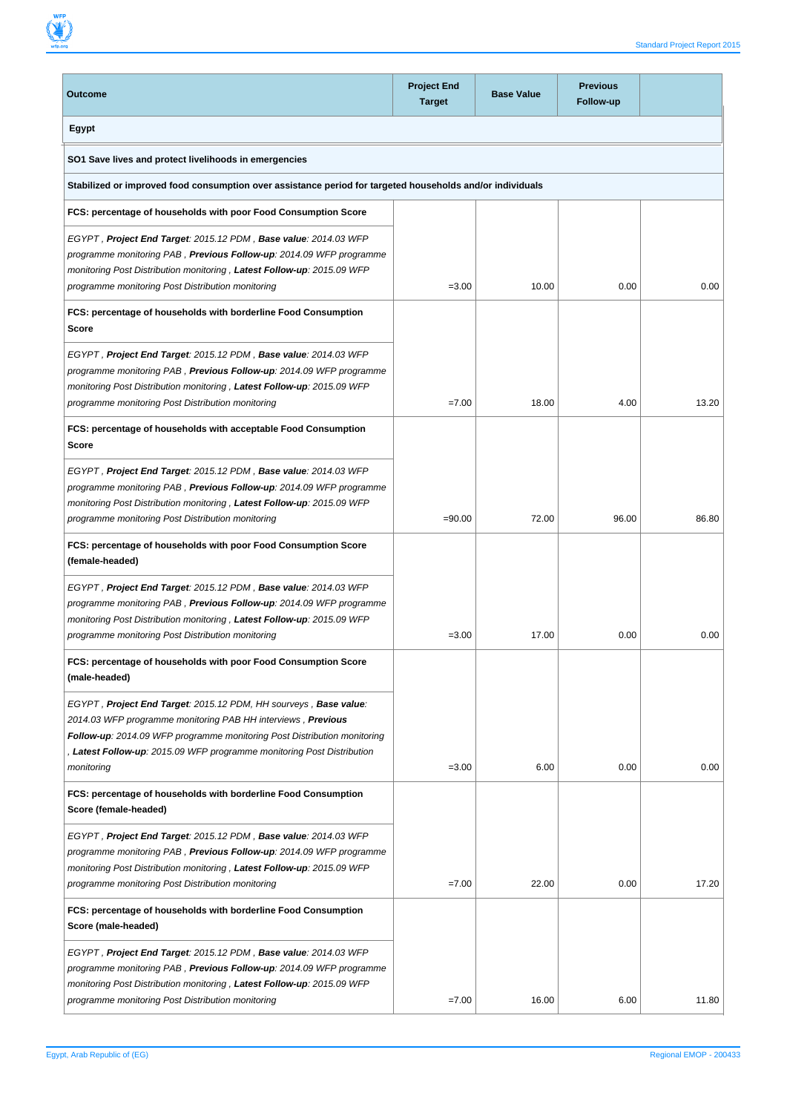

| <b>Outcome</b>                                                                                                                                                                                                                                                                                       | <b>Project End</b><br><b>Target</b> | <b>Base Value</b> | <b>Previous</b><br>Follow-up |       |
|------------------------------------------------------------------------------------------------------------------------------------------------------------------------------------------------------------------------------------------------------------------------------------------------------|-------------------------------------|-------------------|------------------------------|-------|
| Egypt                                                                                                                                                                                                                                                                                                |                                     |                   |                              |       |
| SO1 Save lives and protect livelihoods in emergencies                                                                                                                                                                                                                                                |                                     |                   |                              |       |
| Stabilized or improved food consumption over assistance period for targeted households and/or individuals                                                                                                                                                                                            |                                     |                   |                              |       |
| FCS: percentage of households with poor Food Consumption Score                                                                                                                                                                                                                                       |                                     |                   |                              |       |
| EGYPT, Project End Target: 2015.12 PDM, Base value: 2014.03 WFP<br>programme monitoring PAB, Previous Follow-up: 2014.09 WFP programme<br>monitoring Post Distribution monitoring, Latest Follow-up: 2015.09 WFP<br>programme monitoring Post Distribution monitoring                                | $= 3.00$                            | 10.00             | 0.00                         | 0.00  |
| FCS: percentage of households with borderline Food Consumption<br>Score                                                                                                                                                                                                                              |                                     |                   |                              |       |
| EGYPT, Project End Target: 2015.12 PDM, Base value: 2014.03 WFP<br>programme monitoring PAB, Previous Follow-up: 2014.09 WFP programme<br>monitoring Post Distribution monitoring, Latest Follow-up: 2015.09 WFP<br>programme monitoring Post Distribution monitoring                                | $=7.00$                             | 18.00             | 4.00                         | 13.20 |
| FCS: percentage of households with acceptable Food Consumption<br>Score                                                                                                                                                                                                                              |                                     |                   |                              |       |
| EGYPT, Project End Target: 2015.12 PDM, Base value: 2014.03 WFP<br>programme monitoring PAB, Previous Follow-up: 2014.09 WFP programme<br>monitoring Post Distribution monitoring, Latest Follow-up: 2015.09 WFP<br>programme monitoring Post Distribution monitoring                                | $= 90.00$                           | 72.00             | 96.00                        | 86.80 |
| FCS: percentage of households with poor Food Consumption Score<br>(female-headed)                                                                                                                                                                                                                    |                                     |                   |                              |       |
| EGYPT, Project End Target: 2015.12 PDM, Base value: 2014.03 WFP<br>programme monitoring PAB, Previous Follow-up: 2014.09 WFP programme<br>monitoring Post Distribution monitoring, Latest Follow-up: 2015.09 WFP<br>programme monitoring Post Distribution monitoring                                | $= 3.00$                            | 17.00             | 0.00                         | 0.00  |
| FCS: percentage of households with poor Food Consumption Score<br>(male-headed)                                                                                                                                                                                                                      |                                     |                   |                              |       |
| EGYPT, Project End Target: 2015.12 PDM, HH sourveys, Base value:<br>2014.03 WFP programme monitoring PAB HH interviews, Previous<br>Follow-up: 2014.09 WFP programme monitoring Post Distribution monitoring<br>, Latest Follow-up: 2015.09 WFP programme monitoring Post Distribution<br>monitoring | $= 3.00$                            | 6.00              | 0.00                         | 0.00  |
| FCS: percentage of households with borderline Food Consumption<br>Score (female-headed)                                                                                                                                                                                                              |                                     |                   |                              |       |
| EGYPT, Project End Target: 2015.12 PDM, Base value: 2014.03 WFP<br>programme monitoring PAB, <b>Previous Follow-up</b> : 2014.09 WFP programme<br>monitoring Post Distribution monitoring, Latest Follow-up: 2015.09 WFP<br>programme monitoring Post Distribution monitoring                        | $=7.00$                             | 22.00             | 0.00                         | 17.20 |
| FCS: percentage of households with borderline Food Consumption<br>Score (male-headed)                                                                                                                                                                                                                |                                     |                   |                              |       |
| EGYPT, Project End Target: 2015.12 PDM, Base value: 2014.03 WFP<br>programme monitoring PAB, Previous Follow-up: 2014.09 WFP programme<br>monitoring Post Distribution monitoring, Latest Follow-up: 2015.09 WFP<br>programme monitoring Post Distribution monitoring                                | $=7.00$                             | 16.00             | 6.00                         | 11.80 |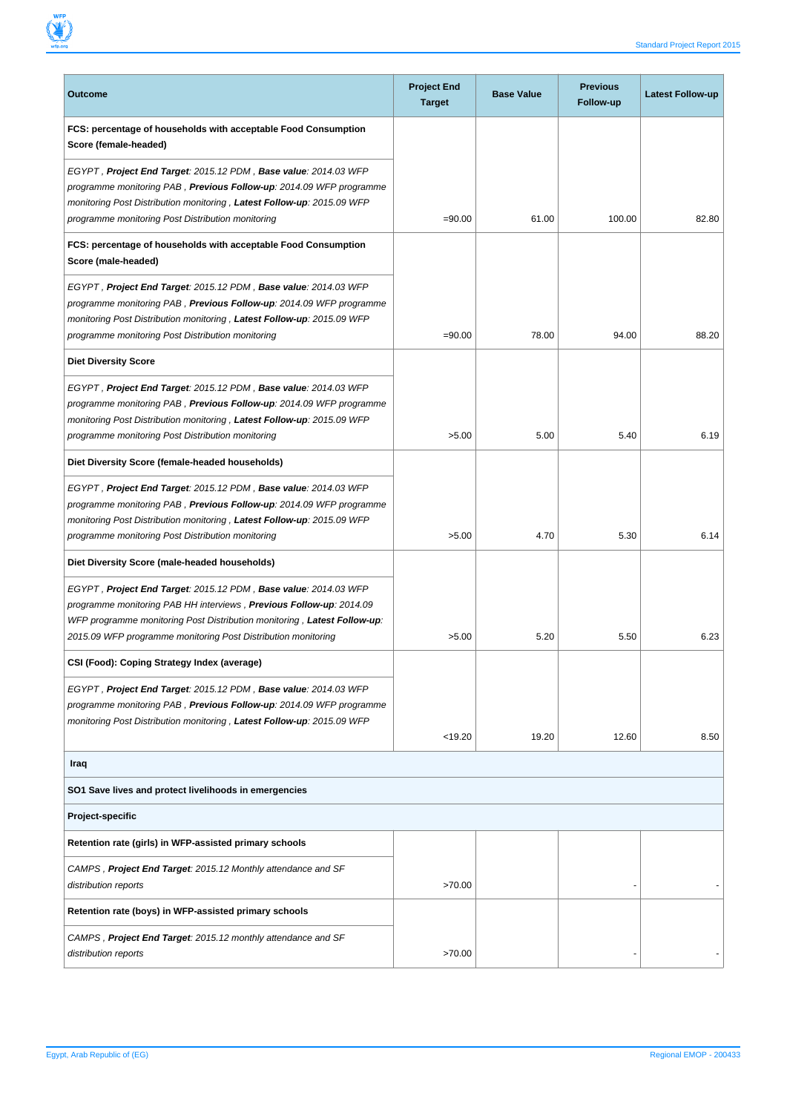

| <b>Outcome</b>                                                                                                                                                                                                                                                                              | <b>Project End</b><br><b>Target</b> | <b>Base Value</b> | <b>Previous</b><br>Follow-up | <b>Latest Follow-up</b> |
|---------------------------------------------------------------------------------------------------------------------------------------------------------------------------------------------------------------------------------------------------------------------------------------------|-------------------------------------|-------------------|------------------------------|-------------------------|
| FCS: percentage of households with acceptable Food Consumption<br>Score (female-headed)                                                                                                                                                                                                     |                                     |                   |                              |                         |
| EGYPT, Project End Target: 2015.12 PDM, Base value: 2014.03 WFP<br>programme monitoring PAB, Previous Follow-up: 2014.09 WFP programme<br>monitoring Post Distribution monitoring, Latest Follow-up: 2015.09 WFP<br>programme monitoring Post Distribution monitoring                       | $= 90.00$                           | 61.00             | 100.00                       | 82.80                   |
| FCS: percentage of households with acceptable Food Consumption<br>Score (male-headed)                                                                                                                                                                                                       |                                     |                   |                              |                         |
| EGYPT, Project End Target: 2015.12 PDM, Base value: 2014.03 WFP<br>programme monitoring PAB, <b>Previous Follow-up</b> : 2014.09 WFP programme<br>monitoring Post Distribution monitoring, Latest Follow-up: 2015.09 WFP<br>programme monitoring Post Distribution monitoring               | $= 90.00$                           | 78.00             | 94.00                        | 88.20                   |
| <b>Diet Diversity Score</b>                                                                                                                                                                                                                                                                 |                                     |                   |                              |                         |
| EGYPT, Project End Target: 2015.12 PDM, Base value: 2014.03 WFP<br>programme monitoring PAB, <b>Previous Follow-up</b> : 2014.09 WFP programme<br>monitoring Post Distribution monitoring, Latest Follow-up: 2015.09 WFP<br>programme monitoring Post Distribution monitoring               | >5.00                               | 5.00              | 5.40                         | 6.19                    |
| Diet Diversity Score (female-headed households)                                                                                                                                                                                                                                             |                                     |                   |                              |                         |
| EGYPT, Project End Target: 2015.12 PDM, Base value: 2014.03 WFP<br>programme monitoring PAB, Previous Follow-up: 2014.09 WFP programme<br>monitoring Post Distribution monitoring, Latest Follow-up: 2015.09 WFP<br>programme monitoring Post Distribution monitoring                       | >5.00                               | 4.70              | 5.30                         | 6.14                    |
| Diet Diversity Score (male-headed households)                                                                                                                                                                                                                                               |                                     |                   |                              |                         |
| EGYPT, Project End Target: 2015.12 PDM, Base value: 2014.03 WFP<br>programme monitoring PAB HH interviews, <b>Previous Follow-up</b> : 2014.09<br>WFP programme monitoring Post Distribution monitoring, Latest Follow-up:<br>2015.09 WFP programme monitoring Post Distribution monitoring | >5.00                               | 5.20              | 5.50                         | 6.23                    |
| CSI (Food): Coping Strategy Index (average)                                                                                                                                                                                                                                                 |                                     |                   |                              |                         |
| EGYPT, Project End Target: 2015.12 PDM, Base value: 2014.03 WFP<br>programme monitoring PAB, Previous Follow-up: 2014.09 WFP programme<br>monitoring Post Distribution monitoring, Latest Follow-up: 2015.09 WFP                                                                            | < 19.20                             | 19.20             | 12.60                        | 8.50                    |
| Iraq                                                                                                                                                                                                                                                                                        |                                     |                   |                              |                         |
| SO1 Save lives and protect livelihoods in emergencies                                                                                                                                                                                                                                       |                                     |                   |                              |                         |
| Project-specific                                                                                                                                                                                                                                                                            |                                     |                   |                              |                         |
| Retention rate (girls) in WFP-assisted primary schools                                                                                                                                                                                                                                      |                                     |                   |                              |                         |
| CAMPS, Project End Target: 2015.12 Monthly attendance and SF<br>distribution reports                                                                                                                                                                                                        | >70.00                              |                   |                              |                         |
| Retention rate (boys) in WFP-assisted primary schools                                                                                                                                                                                                                                       |                                     |                   |                              |                         |
| CAMPS, Project End Target: 2015.12 monthly attendance and SF<br>distribution reports                                                                                                                                                                                                        | >70.00                              |                   |                              |                         |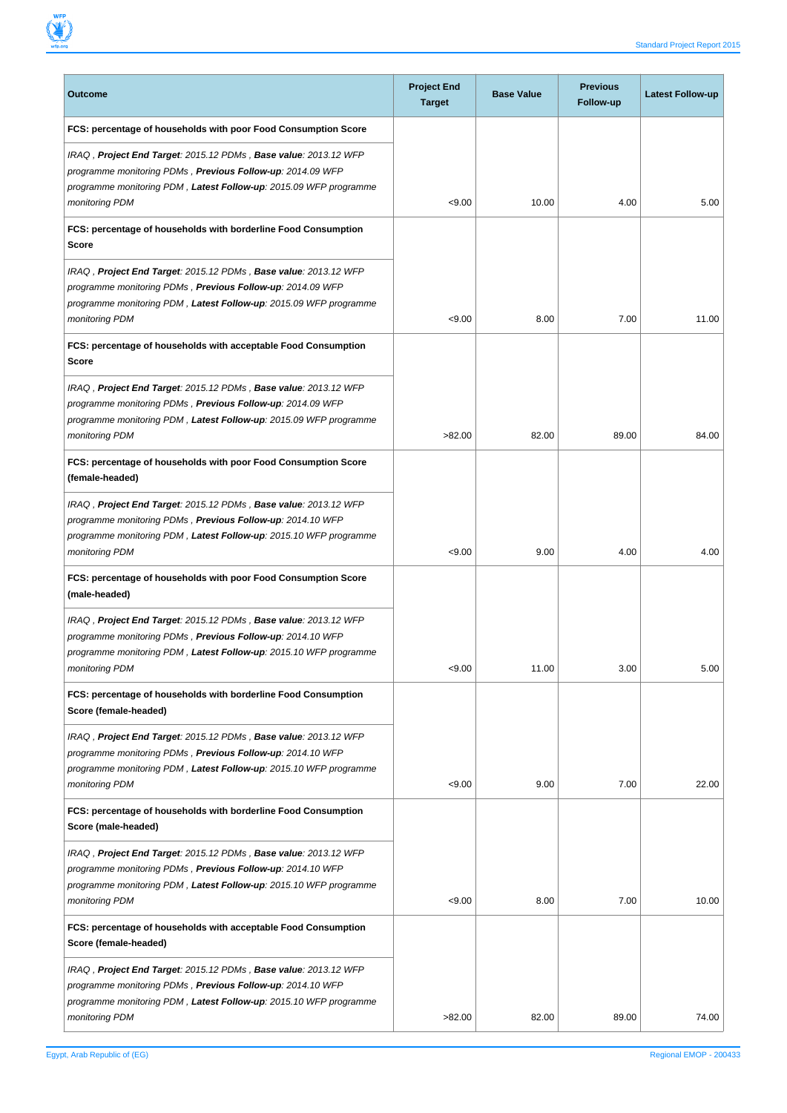

| Outcome                                                                                                                                                                                                              | <b>Project End</b><br><b>Target</b> | <b>Base Value</b> | <b>Previous</b><br>Follow-up | <b>Latest Follow-up</b> |
|----------------------------------------------------------------------------------------------------------------------------------------------------------------------------------------------------------------------|-------------------------------------|-------------------|------------------------------|-------------------------|
| FCS: percentage of households with poor Food Consumption Score                                                                                                                                                       |                                     |                   |                              |                         |
| IRAQ, Project End Target: 2015.12 PDMs, Base value: 2013.12 WFP<br>programme monitoring PDMs, Previous Follow-up: 2014.09 WFP<br>programme monitoring PDM, Latest Follow-up: 2015.09 WFP programme<br>monitoring PDM | < 9.00                              | 10.00             | 4.00                         | 5.00                    |
| FCS: percentage of households with borderline Food Consumption<br>Score                                                                                                                                              |                                     |                   |                              |                         |
| IRAQ, Project End Target: 2015.12 PDMs, Base value: 2013.12 WFP<br>programme monitoring PDMs, Previous Follow-up: 2014.09 WFP<br>programme monitoring PDM, Latest Follow-up: 2015.09 WFP programme<br>monitoring PDM | < 9.00                              | 8.00              | 7.00                         | 11.00                   |
| FCS: percentage of households with acceptable Food Consumption<br>Score                                                                                                                                              |                                     |                   |                              |                         |
| IRAQ, Project End Target: 2015.12 PDMs, Base value: 2013.12 WFP<br>programme monitoring PDMs, Previous Follow-up: 2014.09 WFP<br>programme monitoring PDM, Latest Follow-up: 2015.09 WFP programme<br>monitoring PDM | >82.00                              | 82.00             | 89.00                        | 84.00                   |
| FCS: percentage of households with poor Food Consumption Score<br>(female-headed)                                                                                                                                    |                                     |                   |                              |                         |
| IRAQ, Project End Target: 2015.12 PDMs, Base value: 2013.12 WFP<br>programme monitoring PDMs, Previous Follow-up: 2014.10 WFP<br>programme monitoring PDM, Latest Follow-up: 2015.10 WFP programme<br>monitoring PDM | < 9.00                              | 9.00              | 4.00                         | 4.00                    |
| FCS: percentage of households with poor Food Consumption Score<br>(male-headed)                                                                                                                                      |                                     |                   |                              |                         |
| IRAQ, Project End Target: 2015.12 PDMs, Base value: 2013.12 WFP<br>programme monitoring PDMs, Previous Follow-up: 2014.10 WFP<br>programme monitoring PDM, Latest Follow-up: 2015.10 WFP programme<br>monitoring PDM | < 9.00                              | 11.00             | 3.00                         | 5.00                    |
| FCS: percentage of households with borderline Food Consumption<br>Score (female-headed)                                                                                                                              |                                     |                   |                              |                         |
| IRAQ, Project End Target: 2015.12 PDMs, Base value: 2013.12 WFP<br>programme monitoring PDMs, Previous Follow-up: 2014.10 WFP<br>programme monitoring PDM, Latest Follow-up: 2015.10 WFP programme<br>monitoring PDM | < 9.00                              | 9.00              | 7.00                         | 22.00                   |
| FCS: percentage of households with borderline Food Consumption<br>Score (male-headed)                                                                                                                                |                                     |                   |                              |                         |
| IRAQ, Project End Target: 2015.12 PDMs, Base value: 2013.12 WFP<br>programme monitoring PDMs, Previous Follow-up: 2014.10 WFP<br>programme monitoring PDM, Latest Follow-up: 2015.10 WFP programme<br>monitoring PDM | < 9.00                              | 8.00              | 7.00                         | 10.00                   |
| FCS: percentage of households with acceptable Food Consumption<br>Score (female-headed)                                                                                                                              |                                     |                   |                              |                         |
| IRAQ, Project End Target: 2015.12 PDMs, Base value: 2013.12 WFP<br>programme monitoring PDMs, Previous Follow-up: 2014.10 WFP<br>programme monitoring PDM, Latest Follow-up: 2015.10 WFP programme<br>monitoring PDM | >82.00                              | 82.00             | 89.00                        | 74.00                   |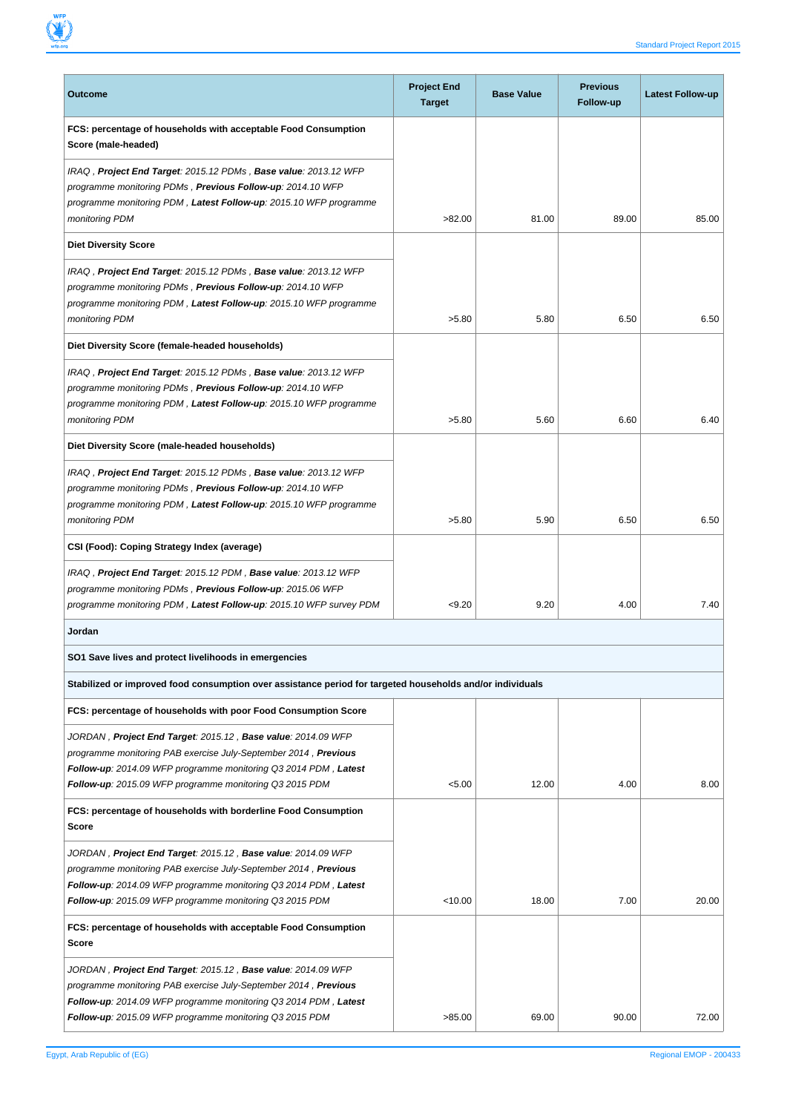

| <b>Outcome</b>                                                                                                                                                                                                                                                | <b>Project End</b><br><b>Target</b> | <b>Base Value</b> | <b>Previous</b><br><b>Follow-up</b> | Latest Follow-up |
|---------------------------------------------------------------------------------------------------------------------------------------------------------------------------------------------------------------------------------------------------------------|-------------------------------------|-------------------|-------------------------------------|------------------|
| FCS: percentage of households with acceptable Food Consumption<br>Score (male-headed)                                                                                                                                                                         |                                     |                   |                                     |                  |
| IRAQ, Project End Target: 2015.12 PDMs, Base value: 2013.12 WFP<br>programme monitoring PDMs, Previous Follow-up: 2014.10 WFP<br>programme monitoring PDM, Latest Follow-up: 2015.10 WFP programme<br>monitoring PDM                                          | >82.00                              | 81.00             | 89.00                               | 85.00            |
| <b>Diet Diversity Score</b>                                                                                                                                                                                                                                   |                                     |                   |                                     |                  |
| IRAQ, Project End Target: 2015.12 PDMs, Base value: 2013.12 WFP<br>programme monitoring PDMs, Previous Follow-up: 2014.10 WFP<br>programme monitoring PDM, Latest Follow-up: 2015.10 WFP programme<br>monitoring PDM                                          | >5.80                               | 5.80              | 6.50                                | 6.50             |
| Diet Diversity Score (female-headed households)                                                                                                                                                                                                               |                                     |                   |                                     |                  |
| IRAQ, Project End Target: 2015.12 PDMs, Base value: 2013.12 WFP<br>programme monitoring PDMs, Previous Follow-up: 2014.10 WFP<br>programme monitoring PDM, Latest Follow-up: 2015.10 WFP programme<br>monitoring PDM                                          | >5.80                               | 5.60              | 6.60                                | 6.40             |
| Diet Diversity Score (male-headed households)                                                                                                                                                                                                                 |                                     |                   |                                     |                  |
| IRAQ, Project End Target: 2015.12 PDMs, Base value: 2013.12 WFP<br>programme monitoring PDMs, Previous Follow-up: 2014.10 WFP<br>programme monitoring PDM, Latest Follow-up: 2015.10 WFP programme<br>monitoring PDM                                          | >5.80                               | 5.90              | 6.50                                | 6.50             |
| CSI (Food): Coping Strategy Index (average)                                                                                                                                                                                                                   |                                     |                   |                                     |                  |
| IRAQ, Project End Target: 2015.12 PDM, Base value: 2013.12 WFP<br>programme monitoring PDMs, Previous Follow-up: 2015.06 WFP<br>programme monitoring PDM, Latest Follow-up: 2015.10 WFP survey PDM                                                            | < 9.20                              | 9.20              | 4.00                                | 7.40             |
| Jordan                                                                                                                                                                                                                                                        |                                     |                   |                                     |                  |
| SO1 Save lives and protect livelihoods in emergencies                                                                                                                                                                                                         |                                     |                   |                                     |                  |
| Stabilized or improved food consumption over assistance period for targeted households and/or individuals                                                                                                                                                     |                                     |                   |                                     |                  |
| FCS: percentage of households with poor Food Consumption Score                                                                                                                                                                                                |                                     |                   |                                     |                  |
| JORDAN, Project End Target: 2015.12, Base value: 2014.09 WFP<br>programme monitoring PAB exercise July-September 2014, Previous<br>Follow-up: 2014.09 WFP programme monitoring Q3 2014 PDM, Latest<br>Follow-up: 2015.09 WFP programme monitoring Q3 2015 PDM | < 5.00                              | 12.00             | 4.00                                | 8.00             |
| FCS: percentage of households with borderline Food Consumption<br>Score                                                                                                                                                                                       |                                     |                   |                                     |                  |
| JORDAN, Project End Target: 2015.12, Base value: 2014.09 WFP<br>programme monitoring PAB exercise July-September 2014, Previous<br>Follow-up: 2014.09 WFP programme monitoring Q3 2014 PDM, Latest<br>Follow-up: 2015.09 WFP programme monitoring Q3 2015 PDM | < 10.00                             | 18.00             | 7.00                                | 20.00            |
| FCS: percentage of households with acceptable Food Consumption<br>Score                                                                                                                                                                                       |                                     |                   |                                     |                  |
| JORDAN, Project End Target: 2015.12, Base value: 2014.09 WFP<br>programme monitoring PAB exercise July-September 2014, Previous<br>Follow-up: 2014.09 WFP programme monitoring Q3 2014 PDM, Latest<br>Follow-up: 2015.09 WFP programme monitoring Q3 2015 PDM | >85.00                              | 69.00             | 90.00                               | 72.00            |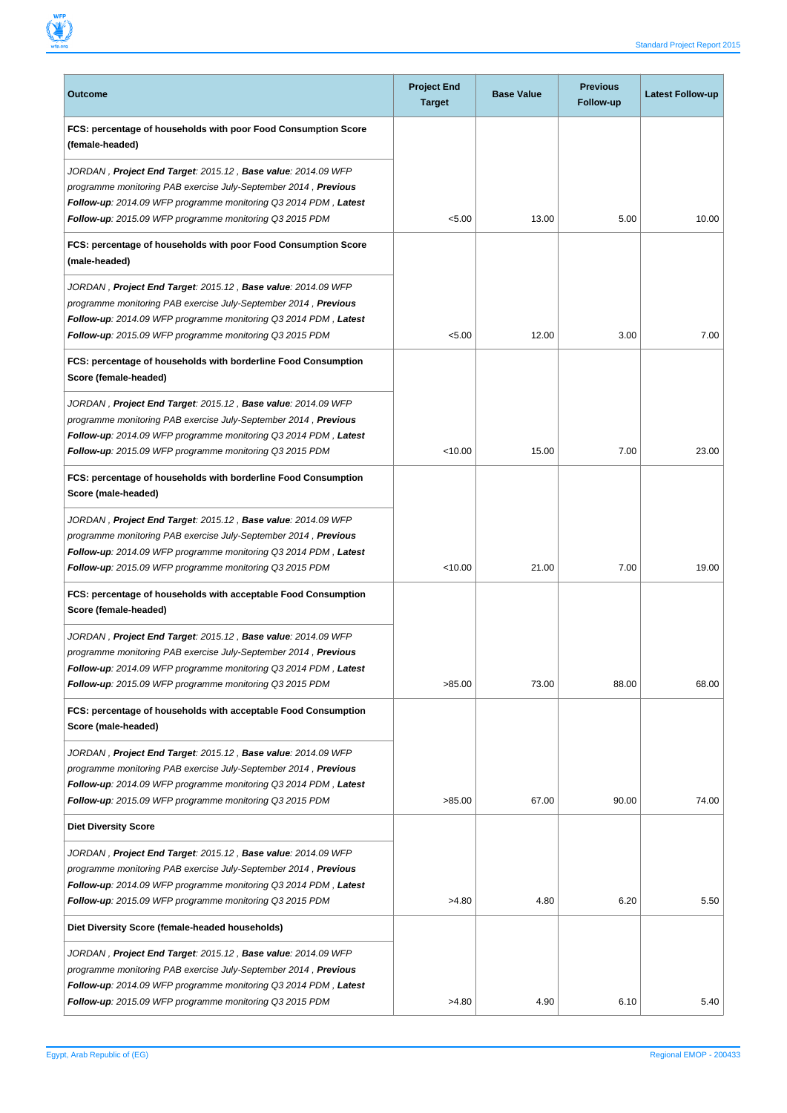

| <b>Project End</b><br><b>Target</b> | <b>Base Value</b> | <b>Previous</b><br>Follow-up | <b>Latest Follow-up</b> |
|-------------------------------------|-------------------|------------------------------|-------------------------|
|                                     |                   |                              |                         |
| < 5.00                              | 13.00             | 5.00                         | 10.00                   |
|                                     |                   |                              |                         |
| < 5.00                              | 12.00             | 3.00                         | 7.00                    |
|                                     |                   |                              |                         |
| < 10.00                             | 15.00             | 7.00                         | 23.00                   |
|                                     |                   |                              |                         |
| < 10.00                             | 21.00             | 7.00                         | 19.00                   |
|                                     |                   |                              |                         |
| >85.00                              | 73.00             | 88.00                        | 68.00                   |
|                                     |                   |                              |                         |
| >85.00                              | 67.00             | 90.00                        | 74.00                   |
|                                     |                   |                              |                         |
| >4.80                               | 4.80              | 6.20                         | 5.50                    |
|                                     |                   |                              |                         |
|                                     |                   |                              | 5.40                    |
|                                     | >4.80             | 4.90                         | 6.10                    |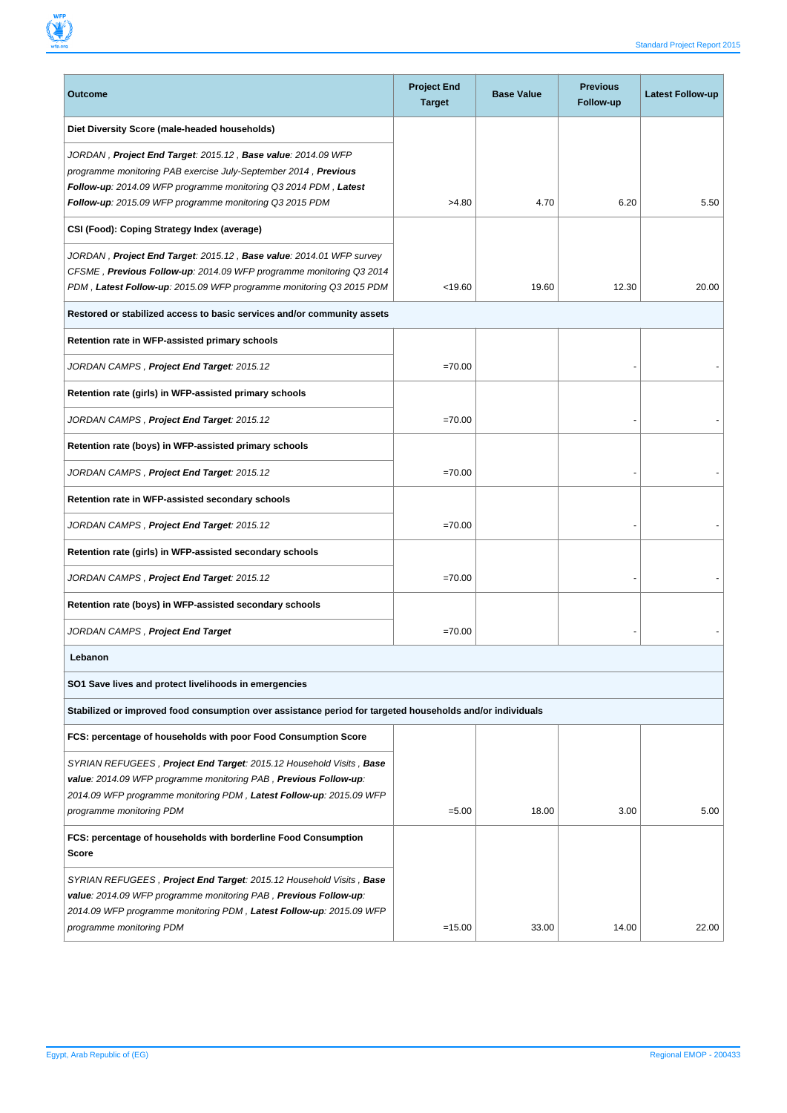

| Outcome                                                                                                                                                                                                                                                       | <b>Project End</b><br><b>Target</b> | <b>Base Value</b> | <b>Previous</b><br>Follow-up | Latest Follow-up |
|---------------------------------------------------------------------------------------------------------------------------------------------------------------------------------------------------------------------------------------------------------------|-------------------------------------|-------------------|------------------------------|------------------|
| Diet Diversity Score (male-headed households)                                                                                                                                                                                                                 |                                     |                   |                              |                  |
| JORDAN, Project End Target: 2015.12, Base value: 2014.09 WFP<br>programme monitoring PAB exercise July-September 2014, Previous<br>Follow-up: 2014.09 WFP programme monitoring Q3 2014 PDM, Latest<br>Follow-up: 2015.09 WFP programme monitoring Q3 2015 PDM | >4.80                               | 4.70              | 6.20                         | 5.50             |
| CSI (Food): Coping Strategy Index (average)                                                                                                                                                                                                                   |                                     |                   |                              |                  |
| JORDAN, Project End Target: 2015.12, Base value: 2014.01 WFP survey<br>CFSME, Previous Follow-up: 2014.09 WFP programme monitoring Q3 2014<br>PDM, Latest Follow-up: 2015.09 WFP programme monitoring Q3 2015 PDM                                             | < 19.60                             | 19.60             | 12.30                        | 20.00            |
| Restored or stabilized access to basic services and/or community assets                                                                                                                                                                                       |                                     |                   |                              |                  |
| Retention rate in WFP-assisted primary schools                                                                                                                                                                                                                |                                     |                   |                              |                  |
| JORDAN CAMPS, Project End Target: 2015.12                                                                                                                                                                                                                     | $=70.00$                            |                   |                              |                  |
| Retention rate (girls) in WFP-assisted primary schools                                                                                                                                                                                                        |                                     |                   |                              |                  |
| JORDAN CAMPS, Project End Target: 2015.12                                                                                                                                                                                                                     | $=70.00$                            |                   |                              |                  |
| Retention rate (boys) in WFP-assisted primary schools                                                                                                                                                                                                         |                                     |                   |                              |                  |
| JORDAN CAMPS, Project End Target: 2015.12                                                                                                                                                                                                                     | $=70.00$                            |                   |                              |                  |
| Retention rate in WFP-assisted secondary schools                                                                                                                                                                                                              |                                     |                   |                              |                  |
| JORDAN CAMPS, Project End Target: 2015.12                                                                                                                                                                                                                     | $=70.00$                            |                   |                              |                  |
| Retention rate (girls) in WFP-assisted secondary schools                                                                                                                                                                                                      |                                     |                   |                              |                  |
| JORDAN CAMPS, Project End Target: 2015.12                                                                                                                                                                                                                     | $=70.00$                            |                   |                              |                  |
| Retention rate (boys) in WFP-assisted secondary schools                                                                                                                                                                                                       |                                     |                   |                              |                  |
| JORDAN CAMPS, Project End Target                                                                                                                                                                                                                              | $=70.00$                            |                   |                              |                  |
| Lebanon                                                                                                                                                                                                                                                       |                                     |                   |                              |                  |
| SO1 Save lives and protect livelihoods in emergencies                                                                                                                                                                                                         |                                     |                   |                              |                  |
| Stabilized or improved food consumption over assistance period for targeted households and/or individuals                                                                                                                                                     |                                     |                   |                              |                  |
| FCS: percentage of households with poor Food Consumption Score                                                                                                                                                                                                |                                     |                   |                              |                  |
| SYRIAN REFUGEES, Project End Target: 2015.12 Household Visits, Base<br>value: 2014.09 WFP programme monitoring PAB, Previous Follow-up:<br>2014.09 WFP programme monitoring PDM, Latest Follow-up: 2015.09 WFP<br>programme monitoring PDM                    | $= 5.00$                            | 18.00             | 3.00                         | 5.00             |
| FCS: percentage of households with borderline Food Consumption<br>Score                                                                                                                                                                                       |                                     |                   |                              |                  |
| SYRIAN REFUGEES, Project End Target: 2015.12 Household Visits, Base<br>value: 2014.09 WFP programme monitoring PAB, Previous Follow-up:<br>2014.09 WFP programme monitoring PDM, Latest Follow-up: 2015.09 WFP<br>programme monitoring PDM                    | $=15.00$                            | 33.00             | 14.00                        | 22.00            |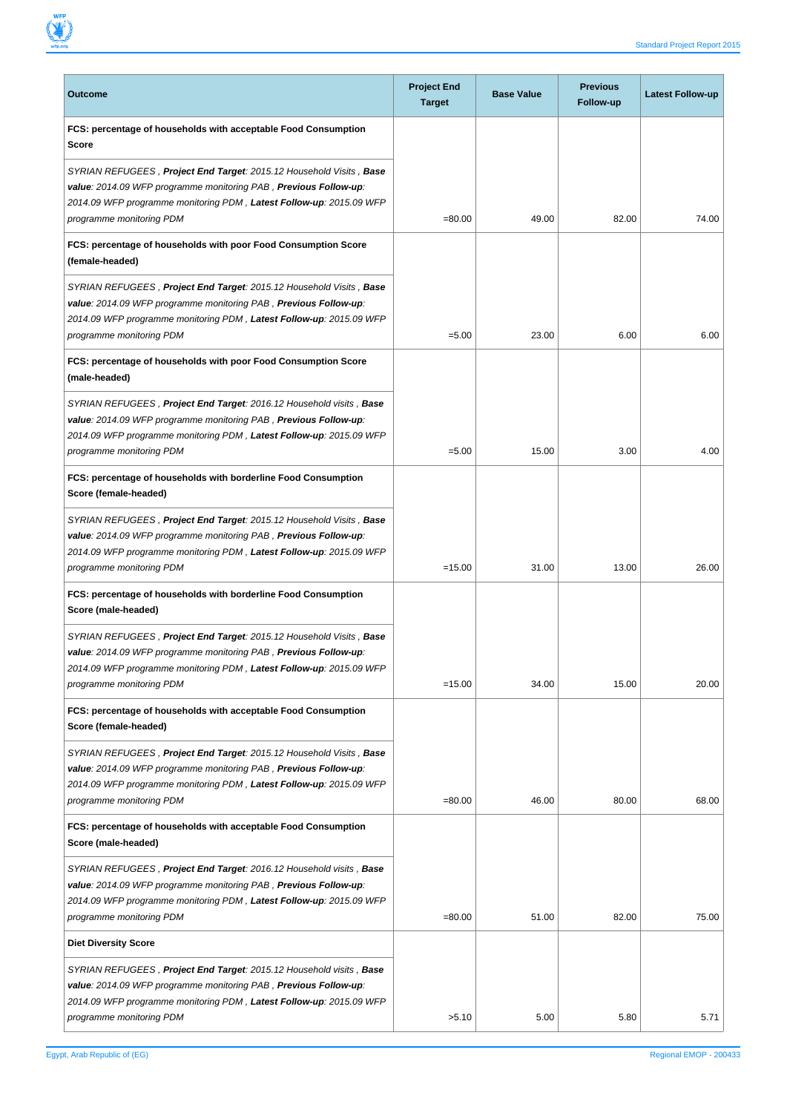

| Outcome                                                                                                                                                                                                                                                     | <b>Project End</b><br><b>Target</b> | <b>Base Value</b> | <b>Previous</b><br>Follow-up | Latest Follow-up |
|-------------------------------------------------------------------------------------------------------------------------------------------------------------------------------------------------------------------------------------------------------------|-------------------------------------|-------------------|------------------------------|------------------|
| FCS: percentage of households with acceptable Food Consumption<br><b>Score</b>                                                                                                                                                                              |                                     |                   |                              |                  |
| SYRIAN REFUGEES , <b>Project End Target</b> : 2015.12 Household Visits , <b>Base</b><br>value: 2014.09 WFP programme monitoring PAB, Previous Follow-up:<br>2014.09 WFP programme monitoring PDM, Latest Follow-up: 2015.09 WFP<br>programme monitoring PDM | $= 80.00$                           | 49.00             | 82.00                        | 74.00            |
| FCS: percentage of households with poor Food Consumption Score<br>(female-headed)                                                                                                                                                                           |                                     |                   |                              |                  |
| SYRIAN REFUGEES, Project End Target: 2015.12 Household Visits, Base<br>value: 2014.09 WFP programme monitoring PAB, Previous Follow-up:<br>2014.09 WFP programme monitoring PDM, Latest Follow-up: 2015.09 WFP<br>programme monitoring PDM                  | $= 5.00$                            | 23.00             | 6.00                         | 6.00             |
| FCS: percentage of households with poor Food Consumption Score<br>(male-headed)                                                                                                                                                                             |                                     |                   |                              |                  |
| SYRIAN REFUGEES, Project End Target: 2016.12 Household visits, Base<br>value: 2014.09 WFP programme monitoring PAB, Previous Follow-up:<br>2014.09 WFP programme monitoring PDM, Latest Follow-up: 2015.09 WFP<br>programme monitoring PDM                  | $= 5.00$                            | 15.00             | 3.00                         | 4.00             |
| FCS: percentage of households with borderline Food Consumption<br>Score (female-headed)                                                                                                                                                                     |                                     |                   |                              |                  |
| SYRIAN REFUGEES, Project End Target: 2015.12 Household Visits, Base<br>value: 2014.09 WFP programme monitoring PAB, Previous Follow-up:<br>2014.09 WFP programme monitoring PDM, Latest Follow-up: 2015.09 WFP<br>programme monitoring PDM                  | $=15.00$                            | 31.00             | 13.00                        | 26.00            |
| FCS: percentage of households with borderline Food Consumption<br>Score (male-headed)                                                                                                                                                                       |                                     |                   |                              |                  |
| SYRIAN REFUGEES, Project End Target: 2015.12 Household Visits, Base<br>value: 2014.09 WFP programme monitoring PAB, Previous Follow-up:<br>2014.09 WFP programme monitoring PDM, Latest Follow-up: 2015.09 WFP<br>programme monitoring PDM                  | $=15.00$                            | 34.00             | 15.00                        | 20.00            |
| FCS: percentage of households with acceptable Food Consumption<br>Score (female-headed)                                                                                                                                                                     |                                     |                   |                              |                  |
| SYRIAN REFUGEES, Project End Target: 2015.12 Household Visits, Base<br>value: 2014.09 WFP programme monitoring PAB, Previous Follow-up:<br>2014.09 WFP programme monitoring PDM, Latest Follow-up: 2015.09 WFP<br>programme monitoring PDM                  | $= 80.00$                           | 46.00             | 80.00                        | 68.00            |
| FCS: percentage of households with acceptable Food Consumption<br>Score (male-headed)                                                                                                                                                                       |                                     |                   |                              |                  |
| SYRIAN REFUGEES, Project End Target: 2016.12 Household visits, Base<br>value: 2014.09 WFP programme monitoring PAB, Previous Follow-up:<br>2014.09 WFP programme monitoring PDM, Latest Follow-up: 2015.09 WFP<br>programme monitoring PDM                  | $= 80.00$                           | 51.00             | 82.00                        | 75.00            |
| <b>Diet Diversity Score</b>                                                                                                                                                                                                                                 |                                     |                   |                              |                  |
| SYRIAN REFUGEES, Project End Target: 2015.12 Household visits, Base<br>value: 2014.09 WFP programme monitoring PAB, Previous Follow-up:<br>2014.09 WFP programme monitoring PDM, Latest Follow-up: 2015.09 WFP<br>programme monitoring PDM                  | >5.10                               | 5.00              | 5.80                         | 5.71             |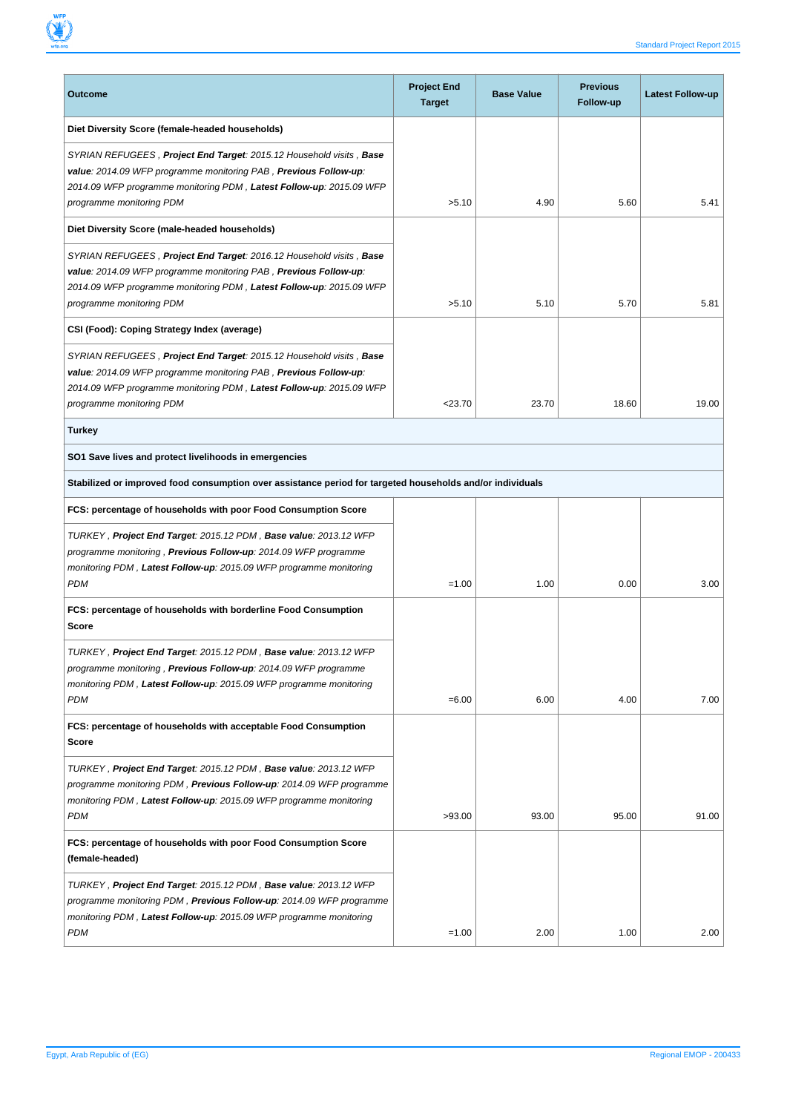| Outcome                                                                                                                                                                                                                                                                                       | <b>Project End</b><br><b>Target</b> | <b>Base Value</b> | <b>Previous</b><br>Follow-up | Latest Follow-up |  |  |  |  |
|-----------------------------------------------------------------------------------------------------------------------------------------------------------------------------------------------------------------------------------------------------------------------------------------------|-------------------------------------|-------------------|------------------------------|------------------|--|--|--|--|
| Diet Diversity Score (female-headed households)<br>SYRIAN REFUGEES, Project End Target: 2015.12 Household visits, Base<br>value: 2014.09 WFP programme monitoring PAB, Previous Follow-up:<br>2014.09 WFP programme monitoring PDM, Latest Follow-up: 2015.09 WFP<br>programme monitoring PDM | >5.10                               | 4.90              | 5.60                         | 5.41             |  |  |  |  |
| Diet Diversity Score (male-headed households)                                                                                                                                                                                                                                                 |                                     |                   |                              |                  |  |  |  |  |
| SYRIAN REFUGEES, Project End Target: 2016.12 Household visits, Base<br>value: 2014.09 WFP programme monitoring PAB, Previous Follow-up:<br>2014.09 WFP programme monitoring PDM, Latest Follow-up: 2015.09 WFP<br>programme monitoring PDM                                                    | >5.10                               | 5.10              | 5.70                         | 5.81             |  |  |  |  |
| CSI (Food): Coping Strategy Index (average)                                                                                                                                                                                                                                                   |                                     |                   |                              |                  |  |  |  |  |
| SYRIAN REFUGEES, Project End Target: 2015.12 Household visits, Base<br>value: 2014.09 WFP programme monitoring PAB, Previous Follow-up:<br>2014.09 WFP programme monitoring PDM, Latest Follow-up: 2015.09 WFP<br>programme monitoring PDM                                                    | < 23.70                             | 23.70             | 18.60                        | 19.00            |  |  |  |  |
| <b>Turkey</b>                                                                                                                                                                                                                                                                                 |                                     |                   |                              |                  |  |  |  |  |
| SO1 Save lives and protect livelihoods in emergencies                                                                                                                                                                                                                                         |                                     |                   |                              |                  |  |  |  |  |
| Stabilized or improved food consumption over assistance period for targeted households and/or individuals                                                                                                                                                                                     |                                     |                   |                              |                  |  |  |  |  |
| FCS: percentage of households with poor Food Consumption Score                                                                                                                                                                                                                                |                                     |                   |                              |                  |  |  |  |  |
| TURKEY, Project End Target: 2015.12 PDM, Base value: 2013.12 WFP<br>programme monitoring, Previous Follow-up: 2014.09 WFP programme<br>monitoring PDM, Latest Follow-up: 2015.09 WFP programme monitoring<br><b>PDM</b>                                                                       | $=1.00$                             | 1.00              | 0.00                         | 3.00             |  |  |  |  |
| FCS: percentage of households with borderline Food Consumption<br>Score                                                                                                                                                                                                                       |                                     |                   |                              |                  |  |  |  |  |
| TURKEY, Project End Target: 2015.12 PDM, Base value: 2013.12 WFP<br>programme monitoring, Previous Follow-up: 2014.09 WFP programme<br>monitoring PDM, Latest Follow-up: 2015.09 WFP programme monitoring<br><b>PDM</b>                                                                       | $= 6.00$                            | 6.00              | 4.00                         | 7.00             |  |  |  |  |
| FCS: percentage of households with acceptable Food Consumption<br>Score                                                                                                                                                                                                                       |                                     |                   |                              |                  |  |  |  |  |
| TURKEY, Project End Target: 2015.12 PDM, Base value: 2013.12 WFP<br>programme monitoring PDM, Previous Follow-up: 2014.09 WFP programme<br>monitoring PDM, Latest Follow-up: 2015.09 WFP programme monitoring<br><b>PDM</b>                                                                   | >93.00                              | 93.00             | 95.00                        | 91.00            |  |  |  |  |
| FCS: percentage of households with poor Food Consumption Score<br>(female-headed)                                                                                                                                                                                                             |                                     |                   |                              |                  |  |  |  |  |
| TURKEY, Project End Target: 2015.12 PDM, Base value: 2013.12 WFP<br>programme monitoring PDM, <b>Previous Follow-up</b> : 2014.09 WFP programme<br>monitoring PDM, Latest Follow-up: 2015.09 WFP programme monitoring<br>PDM                                                                  | $=1.00$                             | 2.00              | 1.00                         | 2.00             |  |  |  |  |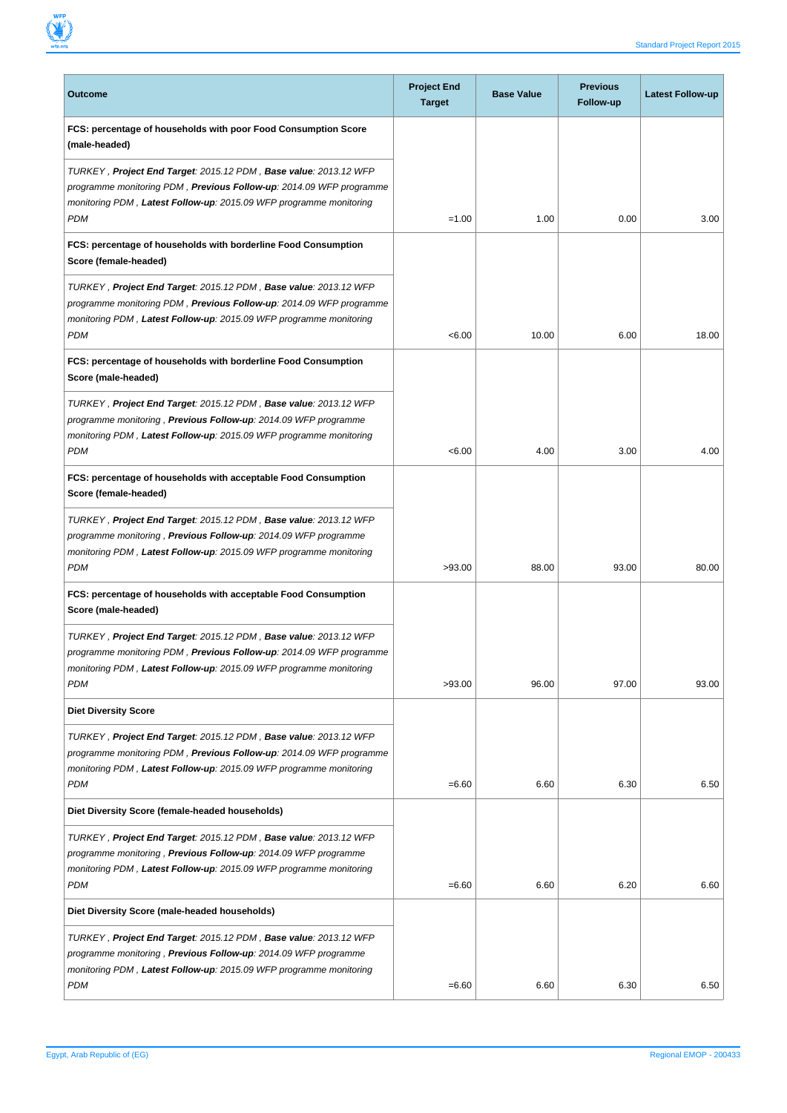

| <b>Outcome</b>                                                                                                                                                                                                                      | <b>Project End</b><br><b>Target</b> | <b>Base Value</b> | <b>Previous</b><br>Follow-up | <b>Latest Follow-up</b> |
|-------------------------------------------------------------------------------------------------------------------------------------------------------------------------------------------------------------------------------------|-------------------------------------|-------------------|------------------------------|-------------------------|
| FCS: percentage of households with poor Food Consumption Score<br>(male-headed)                                                                                                                                                     |                                     |                   |                              |                         |
| TURKEY, Project End Target: 2015.12 PDM, Base value: 2013.12 WFP<br>programme monitoring PDM, <b>Previous Follow-up</b> : 2014.09 WFP programme                                                                                     |                                     |                   |                              |                         |
| monitoring PDM, Latest Follow-up: 2015.09 WFP programme monitoring<br><b>PDM</b>                                                                                                                                                    | $=1.00$                             | 1.00              | 0.00                         | 3.00                    |
| FCS: percentage of households with borderline Food Consumption<br>Score (female-headed)                                                                                                                                             |                                     |                   |                              |                         |
| TURKEY, Project End Target: 2015.12 PDM, Base value: 2013.12 WFP<br>programme monitoring PDM, <b>Previous Follow-up</b> : 2014.09 WFP programme<br>monitoring PDM, Latest Follow-up: 2015.09 WFP programme monitoring<br><b>PDM</b> | < 6.00                              | 10.00             | 6.00                         | 18.00                   |
| FCS: percentage of households with borderline Food Consumption<br>Score (male-headed)                                                                                                                                               |                                     |                   |                              |                         |
| TURKEY, Project End Target: 2015.12 PDM, Base value: 2013.12 WFP<br>programme monitoring, Previous Follow-up: 2014.09 WFP programme<br>monitoring PDM, Latest Follow-up: 2015.09 WFP programme monitoring                           |                                     |                   |                              |                         |
| PDM                                                                                                                                                                                                                                 | < 6.00                              | 4.00              | 3.00                         | 4.00                    |
| FCS: percentage of households with acceptable Food Consumption<br>Score (female-headed)                                                                                                                                             |                                     |                   |                              |                         |
| TURKEY, Project End Target: 2015.12 PDM, Base value: 2013.12 WFP<br>programme monitoring, Previous Follow-up: 2014.09 WFP programme<br>monitoring PDM, Latest Follow-up: 2015.09 WFP programme monitoring                           |                                     |                   |                              |                         |
| <b>PDM</b>                                                                                                                                                                                                                          | >93.00                              | 88.00             | 93.00                        | 80.00                   |
| FCS: percentage of households with acceptable Food Consumption<br>Score (male-headed)                                                                                                                                               |                                     |                   |                              |                         |
| TURKEY, Project End Target: 2015.12 PDM, Base value: 2013.12 WFP<br>programme monitoring PDM, Previous Follow-up: 2014.09 WFP programme                                                                                             |                                     |                   |                              |                         |
| monitoring PDM, Latest Follow-up: 2015.09 WFP programme monitoring<br>PDM                                                                                                                                                           | >93.00                              | 96.00             | 97.00                        | 93.00                   |
| <b>Diet Diversity Score</b>                                                                                                                                                                                                         |                                     |                   |                              |                         |
| TURKEY, Project End Target: 2015.12 PDM, Base value: 2013.12 WFP<br>programme monitoring PDM, Previous Follow-up: 2014.09 WFP programme<br>monitoring PDM, Latest Follow-up: 2015.09 WFP programme monitoring<br><b>PDM</b>         | $= 6.60$                            | 6.60              | 6.30                         | 6.50                    |
| Diet Diversity Score (female-headed households)                                                                                                                                                                                     |                                     |                   |                              |                         |
| TURKEY, Project End Target: 2015.12 PDM, Base value: 2013.12 WFP<br>programme monitoring, Previous Follow-up: 2014.09 WFP programme<br>monitoring PDM, Latest Follow-up: 2015.09 WFP programme monitoring<br><b>PDM</b>             | $= 6.60$                            | 6.60              | 6.20                         | 6.60                    |
| Diet Diversity Score (male-headed households)                                                                                                                                                                                       |                                     |                   |                              |                         |
| TURKEY, Project End Target: 2015.12 PDM, Base value: 2013.12 WFP<br>programme monitoring, Previous Follow-up: 2014.09 WFP programme<br>monitoring PDM, Latest Follow-up: 2015.09 WFP programme monitoring<br><b>PDM</b>             | $= 6.60$                            | 6.60              | 6.30                         | 6.50                    |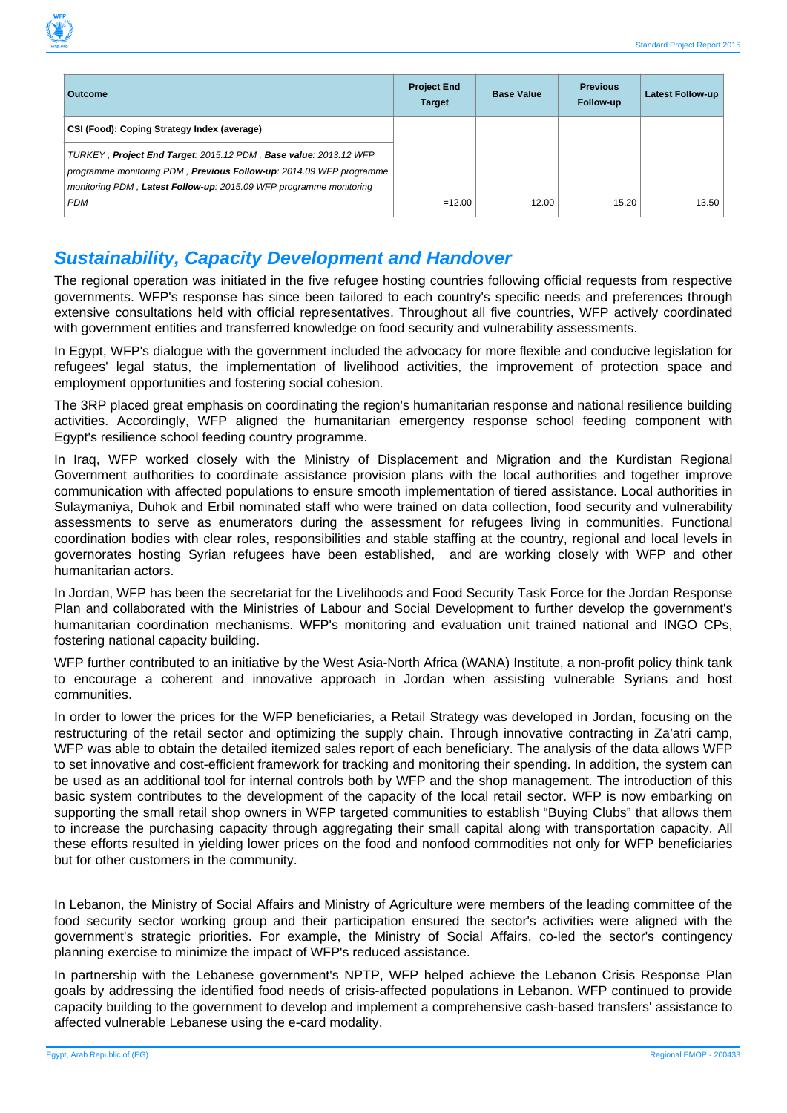| p.org                                                                                                                                                                                                         |                                     |                   |                              | <b>Standard Project Repor</b> |
|---------------------------------------------------------------------------------------------------------------------------------------------------------------------------------------------------------------|-------------------------------------|-------------------|------------------------------|-------------------------------|
|                                                                                                                                                                                                               |                                     |                   |                              |                               |
| <b>Outcome</b>                                                                                                                                                                                                | <b>Project End</b><br><b>Target</b> | <b>Base Value</b> | <b>Previous</b><br>Follow-up | <b>Latest Follow-up</b>       |
| CSI (Food): Coping Strategy Index (average)                                                                                                                                                                   |                                     |                   |                              |                               |
| TURKEY, Project End Target: 2015.12 PDM, Base value: 2013.12 WFP<br>programme monitoring PDM, Previous Follow-up: 2014.09 WFP programme<br>monitoring PDM, Latest Follow-up: 2015.09 WFP programme monitoring |                                     |                   |                              |                               |
| <b>PDM</b>                                                                                                                                                                                                    | $=12.00$                            | 12.00             | 15.20                        | 13.50                         |

#### **Sustainability, Capacity Development and Handover**

The regional operation was initiated in the five refugee hosting countries following official requests from respective governments. WFP's response has since been tailored to each country's specific needs and preferences through extensive consultations held with official representatives. Throughout all five countries, WFP actively coordinated with government entities and transferred knowledge on food security and vulnerability assessments.

In Egypt, WFP's dialogue with the government included the advocacy for more flexible and conducive legislation for refugees' legal status, the implementation of livelihood activities, the improvement of protection space and employment opportunities and fostering social cohesion.

The 3RP placed great emphasis on coordinating the region's humanitarian response and national resilience building activities. Accordingly, WFP aligned the humanitarian emergency response school feeding component with Egypt's resilience school feeding country programme.

In Iraq, WFP worked closely with the Ministry of Displacement and Migration and the Kurdistan Regional Government authorities to coordinate assistance provision plans with the local authorities and together improve communication with affected populations to ensure smooth implementation of tiered assistance. Local authorities in Sulaymaniya, Duhok and Erbil nominated staff who were trained on data collection, food security and vulnerability assessments to serve as enumerators during the assessment for refugees living in communities. Functional coordination bodies with clear roles, responsibilities and stable staffing at the country, regional and local levels in governorates hosting Syrian refugees have been established, and are working closely with WFP and other humanitarian actors.

In Jordan, WFP has been the secretariat for the Livelihoods and Food Security Task Force for the Jordan Response Plan and collaborated with the Ministries of Labour and Social Development to further develop the government's humanitarian coordination mechanisms. WFP's monitoring and evaluation unit trained national and INGO CPs, fostering national capacity building.

WFP further contributed to an initiative by the West Asia-North Africa (WANA) Institute, a non-profit policy think tank to encourage a coherent and innovative approach in Jordan when assisting vulnerable Syrians and host communities.

In order to lower the prices for the WFP beneficiaries, a Retail Strategy was developed in Jordan, focusing on the restructuring of the retail sector and optimizing the supply chain. Through innovative contracting in Za'atri camp, WFP was able to obtain the detailed itemized sales report of each beneficiary. The analysis of the data allows WFP to set innovative and cost-efficient framework for tracking and monitoring their spending. In addition, the system can be used as an additional tool for internal controls both by WFP and the shop management. The introduction of this basic system contributes to the development of the capacity of the local retail sector. WFP is now embarking on supporting the small retail shop owners in WFP targeted communities to establish "Buying Clubs" that allows them to increase the purchasing capacity through aggregating their small capital along with transportation capacity. All these efforts resulted in yielding lower prices on the food and nonfood commodities not only for WFP beneficiaries but for other customers in the community.

In Lebanon, the Ministry of Social Affairs and Ministry of Agriculture were members of the leading committee of the food security sector working group and their participation ensured the sector's activities were aligned with the government's strategic priorities. For example, the Ministry of Social Affairs, co-led the sector's contingency planning exercise to minimize the impact of WFP's reduced assistance.

In partnership with the Lebanese government's NPTP, WFP helped achieve the Lebanon Crisis Response Plan goals by addressing the identified food needs of crisis-affected populations in Lebanon. WFP continued to provide capacity building to the government to develop and implement a comprehensive cash-based transfers' assistance to affected vulnerable Lebanese using the e-card modality.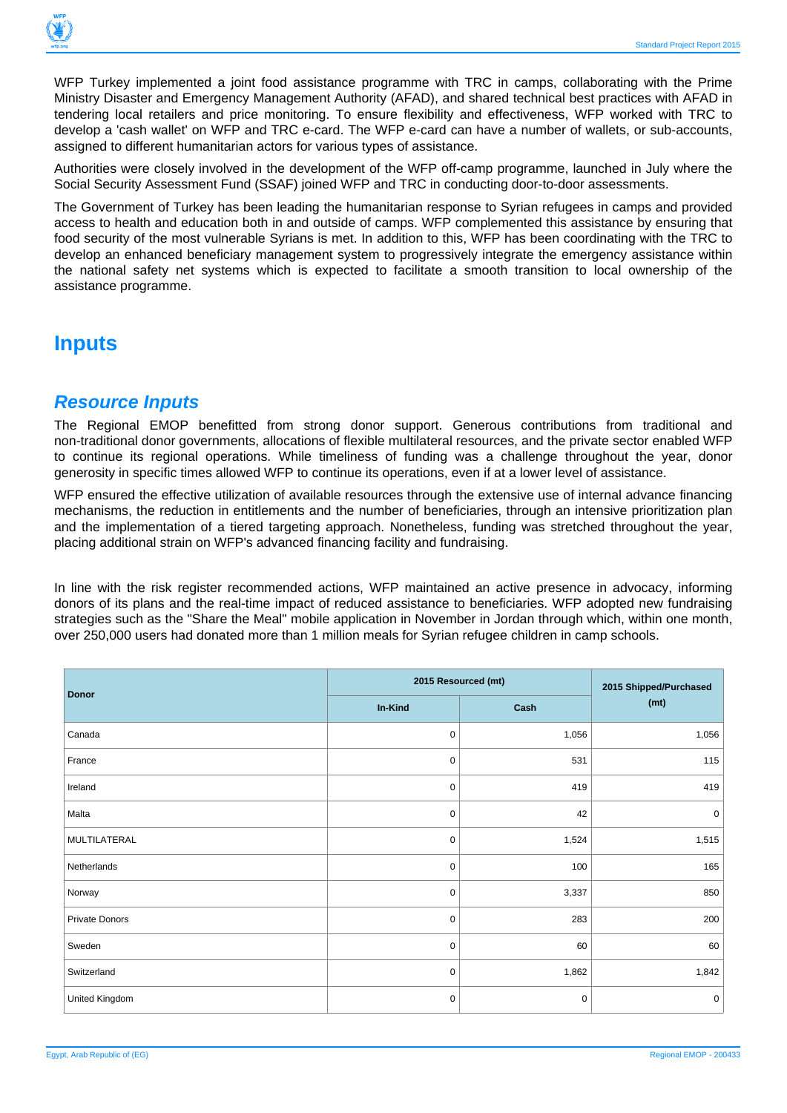

WFP Turkey implemented a joint food assistance programme with TRC in camps, collaborating with the Prime Ministry Disaster and Emergency Management Authority (AFAD), and shared technical best practices with AFAD in tendering local retailers and price monitoring. To ensure flexibility and effectiveness, WFP worked with TRC to develop a 'cash wallet' on WFP and TRC e-card. The WFP e-card can have a number of wallets, or sub-accounts, assigned to different humanitarian actors for various types of assistance.

Authorities were closely involved in the development of the WFP off-camp programme, launched in July where the Social Security Assessment Fund (SSAF) joined WFP and TRC in conducting door-to-door assessments.

The Government of Turkey has been leading the humanitarian response to Syrian refugees in camps and provided access to health and education both in and outside of camps. WFP complemented this assistance by ensuring that food security of the most vulnerable Syrians is met. In addition to this, WFP has been coordinating with the TRC to develop an enhanced beneficiary management system to progressively integrate the emergency assistance within the national safety net systems which is expected to facilitate a smooth transition to local ownership of the assistance programme.

## **Inputs**

#### **Resource Inputs**

The Regional EMOP benefitted from strong donor support. Generous contributions from traditional and non-traditional donor governments, allocations of flexible multilateral resources, and the private sector enabled WFP to continue its regional operations. While timeliness of funding was a challenge throughout the year, donor generosity in specific times allowed WFP to continue its operations, even if at a lower level of assistance.

WFP ensured the effective utilization of available resources through the extensive use of internal advance financing mechanisms, the reduction in entitlements and the number of beneficiaries, through an intensive prioritization plan and the implementation of a tiered targeting approach. Nonetheless, funding was stretched throughout the year, placing additional strain on WFP's advanced financing facility and fundraising.

In line with the risk register recommended actions, WFP maintained an active presence in advocacy, informing donors of its plans and the real-time impact of reduced assistance to beneficiaries. WFP adopted new fundraising strategies such as the "Share the Meal" mobile application in November in Jordan through which, within one month, over 250,000 users had donated more than 1 million meals for Syrian refugee children in camp schools.

|                | 2015 Resourced (mt) | 2015 Shipped/Purchased |           |
|----------------|---------------------|------------------------|-----------|
| <b>Donor</b>   | In-Kind             | Cash                   | (mt)      |
| Canada         | 0                   | 1,056                  | 1,056     |
| France         | 0                   | 531                    | 115       |
| Ireland        | 0                   | 419                    | 419       |
| Malta          | 0                   | 42                     | $\pmb{0}$ |
| MULTILATERAL   | 0                   | 1,524                  | 1,515     |
| Netherlands    | 0                   | 100                    | 165       |
| Norway         | 0                   | 3,337                  | 850       |
| Private Donors | 0                   | 283                    | 200       |
| Sweden         | 0                   | 60                     | 60        |
| Switzerland    | 0                   | 1,862                  | 1,842     |
| United Kingdom | 0                   | $\pmb{0}$              | $\pmb{0}$ |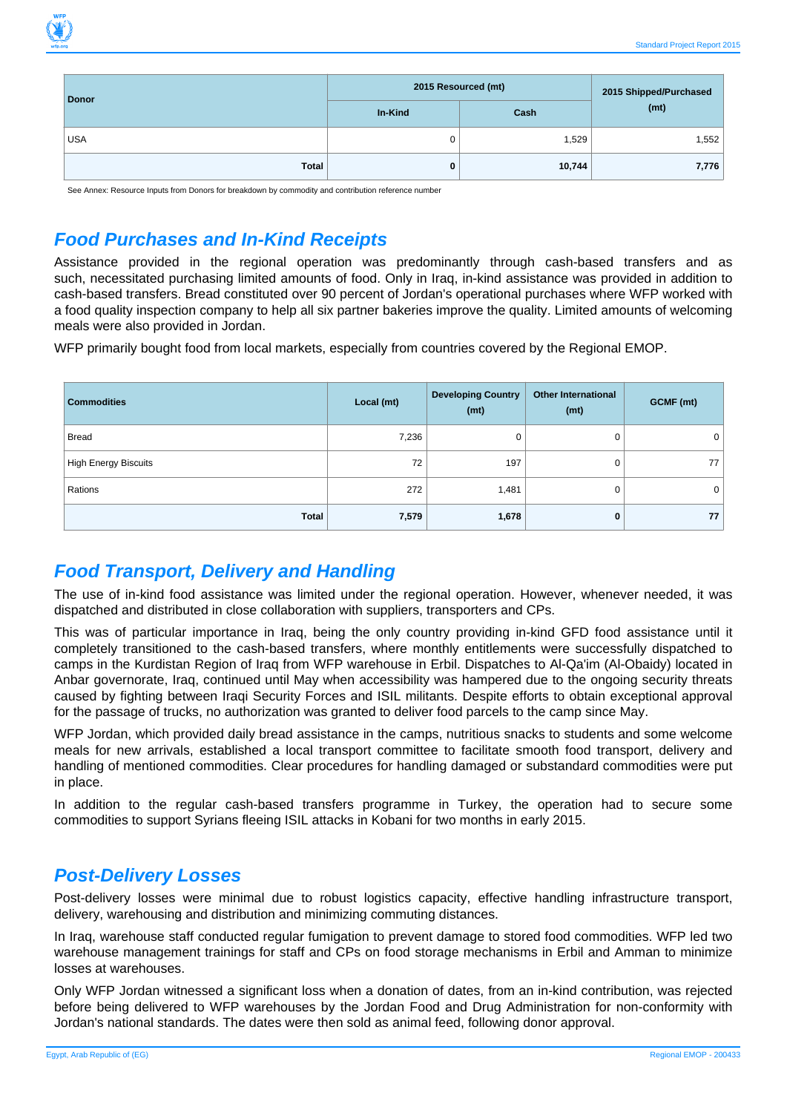

| <b>Donor</b> | 2015 Resourced (mt) | 2015 Shipped/Purchased |       |
|--------------|---------------------|------------------------|-------|
|              | In-Kind             | Cash                   | (mt)  |
| <b>USA</b>   |                     | 1,529                  | 1,552 |
| Total        | 0                   | 10,744                 | 7,776 |

See Annex: Resource Inputs from Donors for breakdown by commodity and contribution reference number

## **Food Purchases and In-Kind Receipts**

Assistance provided in the regional operation was predominantly through cash-based transfers and as such, necessitated purchasing limited amounts of food. Only in Iraq, in-kind assistance was provided in addition to cash-based transfers. Bread constituted over 90 percent of Jordan's operational purchases where WFP worked with a food quality inspection company to help all six partner bakeries improve the quality. Limited amounts of welcoming meals were also provided in Jordan.

WFP primarily bought food from local markets, especially from countries covered by the Regional EMOP.

| <b>Commodities</b>          | Local (mt) | <b>Developing Country</b><br>(mt) | <b>Other International</b><br>(mt) | GCMF (mt) |
|-----------------------------|------------|-----------------------------------|------------------------------------|-----------|
| <b>Bread</b>                | 7,236      |                                   | 0                                  | 0         |
| <b>High Energy Biscuits</b> | 72         | 197                               | 0                                  | 77        |
| Rations                     | 272        | 1,481                             | 0                                  | 0         |
| Total                       | 7,579      | 1,678                             | 0                                  | 77        |

## **Food Transport, Delivery and Handling**

The use of in-kind food assistance was limited under the regional operation. However, whenever needed, it was dispatched and distributed in close collaboration with suppliers, transporters and CPs.

This was of particular importance in Iraq, being the only country providing in-kind GFD food assistance until it completely transitioned to the cash-based transfers, where monthly entitlements were successfully dispatched to camps in the Kurdistan Region of Iraq from WFP warehouse in Erbil. Dispatches to Al-Qa'im (Al-Obaidy) located in Anbar governorate, Iraq, continued until May when accessibility was hampered due to the ongoing security threats caused by fighting between Iraqi Security Forces and ISIL militants. Despite efforts to obtain exceptional approval for the passage of trucks, no authorization was granted to deliver food parcels to the camp since May.

WFP Jordan, which provided daily bread assistance in the camps, nutritious snacks to students and some welcome meals for new arrivals, established a local transport committee to facilitate smooth food transport, delivery and handling of mentioned commodities. Clear procedures for handling damaged or substandard commodities were put in place.

In addition to the regular cash-based transfers programme in Turkey, the operation had to secure some commodities to support Syrians fleeing ISIL attacks in Kobani for two months in early 2015.

### **Post-Delivery Losses**

Post-delivery losses were minimal due to robust logistics capacity, effective handling infrastructure transport, delivery, warehousing and distribution and minimizing commuting distances.

In Iraq, warehouse staff conducted regular fumigation to prevent damage to stored food commodities. WFP led two warehouse management trainings for staff and CPs on food storage mechanisms in Erbil and Amman to minimize losses at warehouses.

Only WFP Jordan witnessed a significant loss when a donation of dates, from an in-kind contribution, was rejected before being delivered to WFP warehouses by the Jordan Food and Drug Administration for non-conformity with Jordan's national standards. The dates were then sold as animal feed, following donor approval.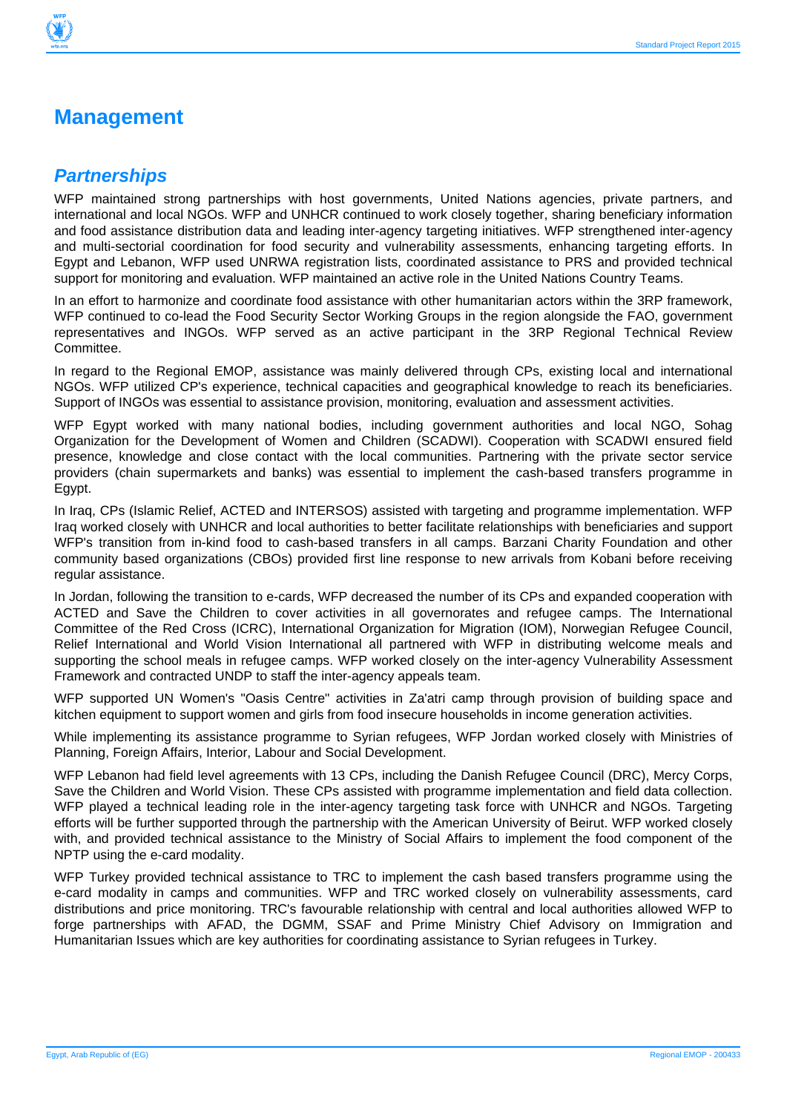

## **Management**

#### **Partnerships**

WFP maintained strong partnerships with host governments. United Nations agencies, private partners, and international and local NGOs. WFP and UNHCR continued to work closely together, sharing beneficiary information and food assistance distribution data and leading inter-agency targeting initiatives. WFP strengthened inter-agency and multi-sectorial coordination for food security and vulnerability assessments, enhancing targeting efforts. In Egypt and Lebanon, WFP used UNRWA registration lists, coordinated assistance to PRS and provided technical support for monitoring and evaluation. WFP maintained an active role in the United Nations Country Teams.

In an effort to harmonize and coordinate food assistance with other humanitarian actors within the 3RP framework, WFP continued to co-lead the Food Security Sector Working Groups in the region alongside the FAO, government representatives and INGOs. WFP served as an active participant in the 3RP Regional Technical Review Committee.

In regard to the Regional EMOP, assistance was mainly delivered through CPs, existing local and international NGOs. WFP utilized CP's experience, technical capacities and geographical knowledge to reach its beneficiaries. Support of INGOs was essential to assistance provision, monitoring, evaluation and assessment activities.

WFP Egypt worked with many national bodies, including government authorities and local NGO, Sohag Organization for the Development of Women and Children (SCADWI). Cooperation with SCADWI ensured field presence, knowledge and close contact with the local communities. Partnering with the private sector service providers (chain supermarkets and banks) was essential to implement the cash-based transfers programme in Egypt.

In Iraq, CPs (Islamic Relief, ACTED and INTERSOS) assisted with targeting and programme implementation. WFP Iraq worked closely with UNHCR and local authorities to better facilitate relationships with beneficiaries and support WFP's transition from in-kind food to cash-based transfers in all camps. Barzani Charity Foundation and other community based organizations (CBOs) provided first line response to new arrivals from Kobani before receiving regular assistance.

In Jordan, following the transition to e-cards, WFP decreased the number of its CPs and expanded cooperation with ACTED and Save the Children to cover activities in all governorates and refugee camps. The International Committee of the Red Cross (ICRC), International Organization for Migration (IOM), Norwegian Refugee Council, Relief International and World Vision International all partnered with WFP in distributing welcome meals and supporting the school meals in refugee camps. WFP worked closely on the inter-agency Vulnerability Assessment Framework and contracted UNDP to staff the inter-agency appeals team.

WFP supported UN Women's "Oasis Centre" activities in Za'atri camp through provision of building space and kitchen equipment to support women and girls from food insecure households in income generation activities.

While implementing its assistance programme to Syrian refugees, WFP Jordan worked closely with Ministries of Planning, Foreign Affairs, Interior, Labour and Social Development.

WFP Lebanon had field level agreements with 13 CPs, including the Danish Refugee Council (DRC), Mercy Corps, Save the Children and World Vision. These CPs assisted with programme implementation and field data collection. WFP played a technical leading role in the inter-agency targeting task force with UNHCR and NGOs. Targeting efforts will be further supported through the partnership with the American University of Beirut. WFP worked closely with, and provided technical assistance to the Ministry of Social Affairs to implement the food component of the NPTP using the e-card modality.

WFP Turkey provided technical assistance to TRC to implement the cash based transfers programme using the e-card modality in camps and communities. WFP and TRC worked closely on vulnerability assessments, card distributions and price monitoring. TRC's favourable relationship with central and local authorities allowed WFP to forge partnerships with AFAD, the DGMM, SSAF and Prime Ministry Chief Advisory on Immigration and Humanitarian Issues which are key authorities for coordinating assistance to Syrian refugees in Turkey.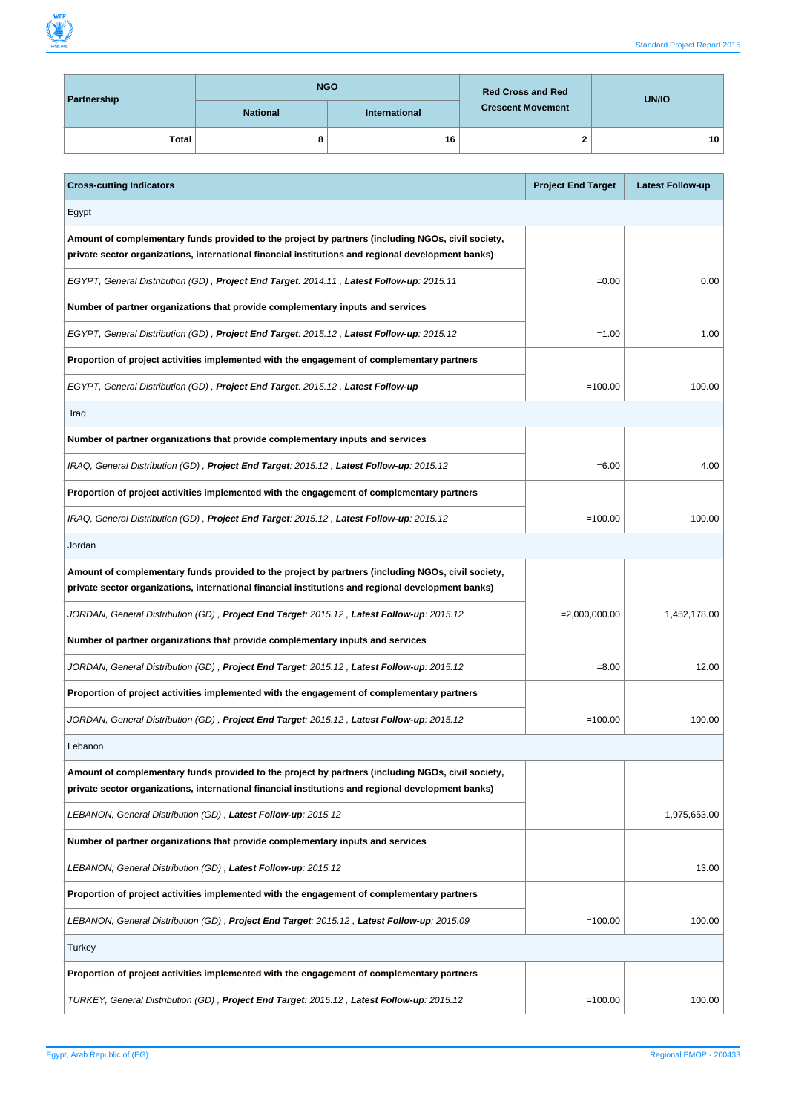| Partnership  |                 | <b>NGO</b>           | <b>Red Cross and Red</b> | UN/IO           |  |
|--------------|-----------------|----------------------|--------------------------|-----------------|--|
|              | <b>National</b> | <b>International</b> | <b>Crescent Movement</b> |                 |  |
| <b>Total</b> |                 | 16                   |                          | 10 <sup>1</sup> |  |

| <b>Cross-cutting Indicators</b>                                                                                                                                                                         | <b>Project End Target</b> | <b>Latest Follow-up</b> |
|---------------------------------------------------------------------------------------------------------------------------------------------------------------------------------------------------------|---------------------------|-------------------------|
| Egypt                                                                                                                                                                                                   |                           |                         |
| Amount of complementary funds provided to the project by partners (including NGOs, civil society,<br>private sector organizations, international financial institutions and regional development banks) |                           |                         |
| EGYPT, General Distribution (GD), Project End Target: 2014.11, Latest Follow-up: 2015.11                                                                                                                | $=0.00$                   | 0.00                    |
| Number of partner organizations that provide complementary inputs and services                                                                                                                          |                           |                         |
| EGYPT, General Distribution (GD), Project End Target: 2015.12, Latest Follow-up: 2015.12                                                                                                                | $=1.00$                   | 1.00                    |
| Proportion of project activities implemented with the engagement of complementary partners                                                                                                              |                           |                         |
| EGYPT, General Distribution (GD) , Project End Target: 2015.12 , Latest Follow-up                                                                                                                       | $=100.00$                 | 100.00                  |
| Iraq                                                                                                                                                                                                    |                           |                         |
| Number of partner organizations that provide complementary inputs and services                                                                                                                          |                           |                         |
| IRAQ, General Distribution (GD), <b>Project End Target</b> : 2015.12, Latest Follow-up: 2015.12                                                                                                         | $= 6.00$                  | 4.00                    |
| Proportion of project activities implemented with the engagement of complementary partners                                                                                                              |                           |                         |
| IRAQ, General Distribution (GD), Project End Target: 2015.12, Latest Follow-up: 2015.12                                                                                                                 | $=100.00$                 | 100.00                  |
| Jordan                                                                                                                                                                                                  |                           |                         |
| Amount of complementary funds provided to the project by partners (including NGOs, civil society,<br>private sector organizations, international financial institutions and regional development banks) |                           |                         |
| JORDAN, General Distribution (GD) , Project End Target: 2015.12 , Latest Follow-up: 2015.12                                                                                                             | $= 2,000,000.00$          | 1,452,178.00            |
| Number of partner organizations that provide complementary inputs and services                                                                                                                          |                           |                         |
| JORDAN, General Distribution (GD) , <b>Project End Target</b> : 2015.12 , <b>Latest Follow-up</b> : 2015.12                                                                                             | $= 8.00$                  | 12.00                   |
| Proportion of project activities implemented with the engagement of complementary partners                                                                                                              |                           |                         |
| JORDAN, General Distribution (GD), Project End Target: 2015.12, Latest Follow-up: 2015.12                                                                                                               | $=100.00$                 | 100.00                  |
| Lebanon                                                                                                                                                                                                 |                           |                         |
| Amount of complementary funds provided to the project by partners (including NGOs, civil society,<br>private sector organizations, international financial institutions and regional development banks) |                           |                         |
| LEBANON, General Distribution (GD), Latest Follow-up: 2015.12                                                                                                                                           |                           | 1,975,653.00            |
| Number of partner organizations that provide complementary inputs and services                                                                                                                          |                           |                         |
| LEBANON, General Distribution (GD), Latest Follow-up: 2015.12                                                                                                                                           |                           | 13.00                   |
| Proportion of project activities implemented with the engagement of complementary partners                                                                                                              |                           |                         |
| LEBANON, General Distribution (GD), Project End Target: 2015.12, Latest Follow-up: 2015.09                                                                                                              | $=100.00$                 | 100.00                  |
| Turkey                                                                                                                                                                                                  |                           |                         |
| Proportion of project activities implemented with the engagement of complementary partners                                                                                                              |                           |                         |
| TURKEY, General Distribution (GD), Project End Target: 2015.12, Latest Follow-up: 2015.12                                                                                                               | $=100.00$                 | 100.00                  |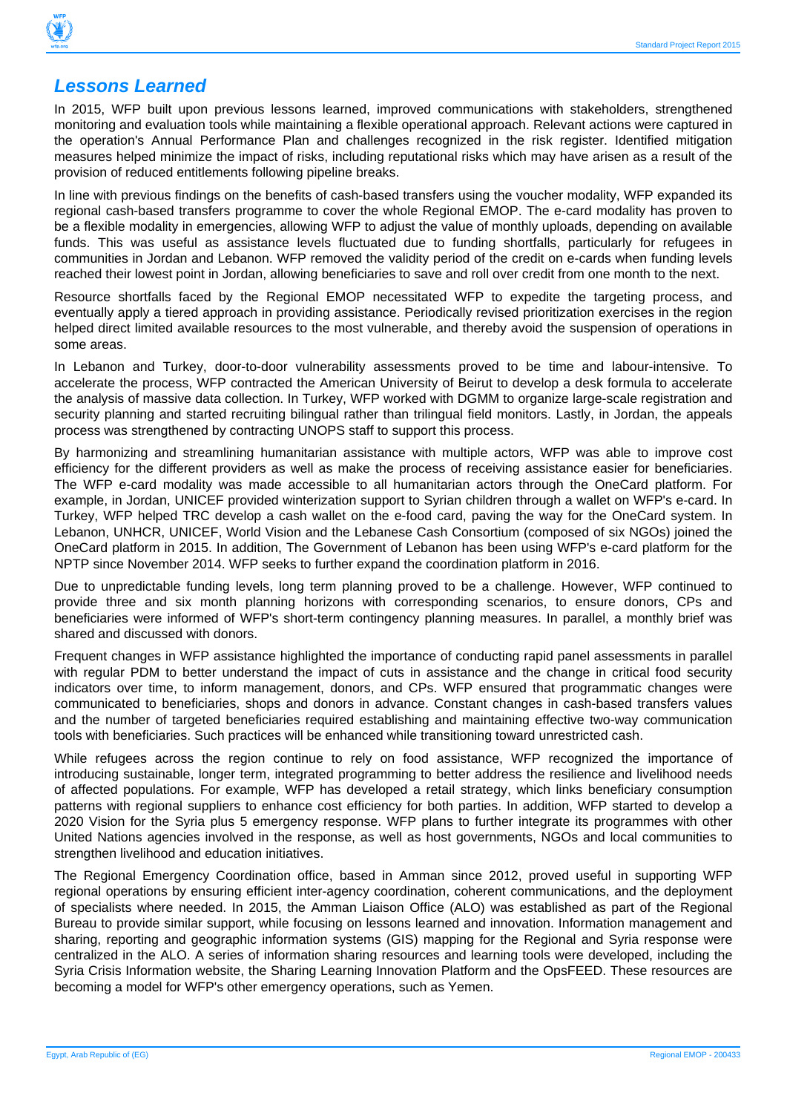

#### **Lessons Learned**

In 2015, WFP built upon previous lessons learned, improved communications with stakeholders, strengthened monitoring and evaluation tools while maintaining a flexible operational approach. Relevant actions were captured in the operation's Annual Performance Plan and challenges recognized in the risk register. Identified mitigation measures helped minimize the impact of risks, including reputational risks which may have arisen as a result of the provision of reduced entitlements following pipeline breaks.

In line with previous findings on the benefits of cash-based transfers using the voucher modality, WFP expanded its regional cash-based transfers programme to cover the whole Regional EMOP. The e-card modality has proven to be a flexible modality in emergencies, allowing WFP to adjust the value of monthly uploads, depending on available funds. This was useful as assistance levels fluctuated due to funding shortfalls, particularly for refugees in communities in Jordan and Lebanon. WFP removed the validity period of the credit on e-cards when funding levels reached their lowest point in Jordan, allowing beneficiaries to save and roll over credit from one month to the next.

Resource shortfalls faced by the Regional EMOP necessitated WFP to expedite the targeting process, and eventually apply a tiered approach in providing assistance. Periodically revised prioritization exercises in the region helped direct limited available resources to the most vulnerable, and thereby avoid the suspension of operations in some areas.

In Lebanon and Turkey, door-to-door vulnerability assessments proved to be time and labour-intensive. To accelerate the process, WFP contracted the American University of Beirut to develop a desk formula to accelerate the analysis of massive data collection. In Turkey, WFP worked with DGMM to organize large-scale registration and security planning and started recruiting bilingual rather than trilingual field monitors. Lastly, in Jordan, the appeals process was strengthened by contracting UNOPS staff to support this process.

By harmonizing and streamlining humanitarian assistance with multiple actors, WFP was able to improve cost efficiency for the different providers as well as make the process of receiving assistance easier for beneficiaries. The WFP e-card modality was made accessible to all humanitarian actors through the OneCard platform. For example, in Jordan, UNICEF provided winterization support to Syrian children through a wallet on WFP's e-card. In Turkey, WFP helped TRC develop a cash wallet on the e-food card, paving the way for the OneCard system. In Lebanon, UNHCR, UNICEF, World Vision and the Lebanese Cash Consortium (composed of six NGOs) joined the OneCard platform in 2015. In addition, The Government of Lebanon has been using WFP's e-card platform for the NPTP since November 2014. WFP seeks to further expand the coordination platform in 2016.

Due to unpredictable funding levels, long term planning proved to be a challenge. However, WFP continued to provide three and six month planning horizons with corresponding scenarios, to ensure donors, CPs and beneficiaries were informed of WFP's short-term contingency planning measures. In parallel, a monthly brief was shared and discussed with donors.

Frequent changes in WFP assistance highlighted the importance of conducting rapid panel assessments in parallel with regular PDM to better understand the impact of cuts in assistance and the change in critical food security indicators over time, to inform management, donors, and CPs. WFP ensured that programmatic changes were communicated to beneficiaries, shops and donors in advance. Constant changes in cash-based transfers values and the number of targeted beneficiaries required establishing and maintaining effective two-way communication tools with beneficiaries. Such practices will be enhanced while transitioning toward unrestricted cash.

While refugees across the region continue to rely on food assistance, WFP recognized the importance of introducing sustainable, longer term, integrated programming to better address the resilience and livelihood needs of affected populations. For example, WFP has developed a retail strategy, which links beneficiary consumption patterns with regional suppliers to enhance cost efficiency for both parties. In addition, WFP started to develop a 2020 Vision for the Syria plus 5 emergency response. WFP plans to further integrate its programmes with other United Nations agencies involved in the response, as well as host governments, NGOs and local communities to strengthen livelihood and education initiatives.

The Regional Emergency Coordination office, based in Amman since 2012, proved useful in supporting WFP regional operations by ensuring efficient inter-agency coordination, coherent communications, and the deployment of specialists where needed. In 2015, the Amman Liaison Office (ALO) was established as part of the Regional Bureau to provide similar support, while focusing on lessons learned and innovation. Information management and sharing, reporting and geographic information systems (GIS) mapping for the Regional and Syria response were centralized in the ALO. A series of information sharing resources and learning tools were developed, including the Syria Crisis Information website, the Sharing Learning Innovation Platform and the OpsFEED. These resources are becoming a model for WFP's other emergency operations, such as Yemen.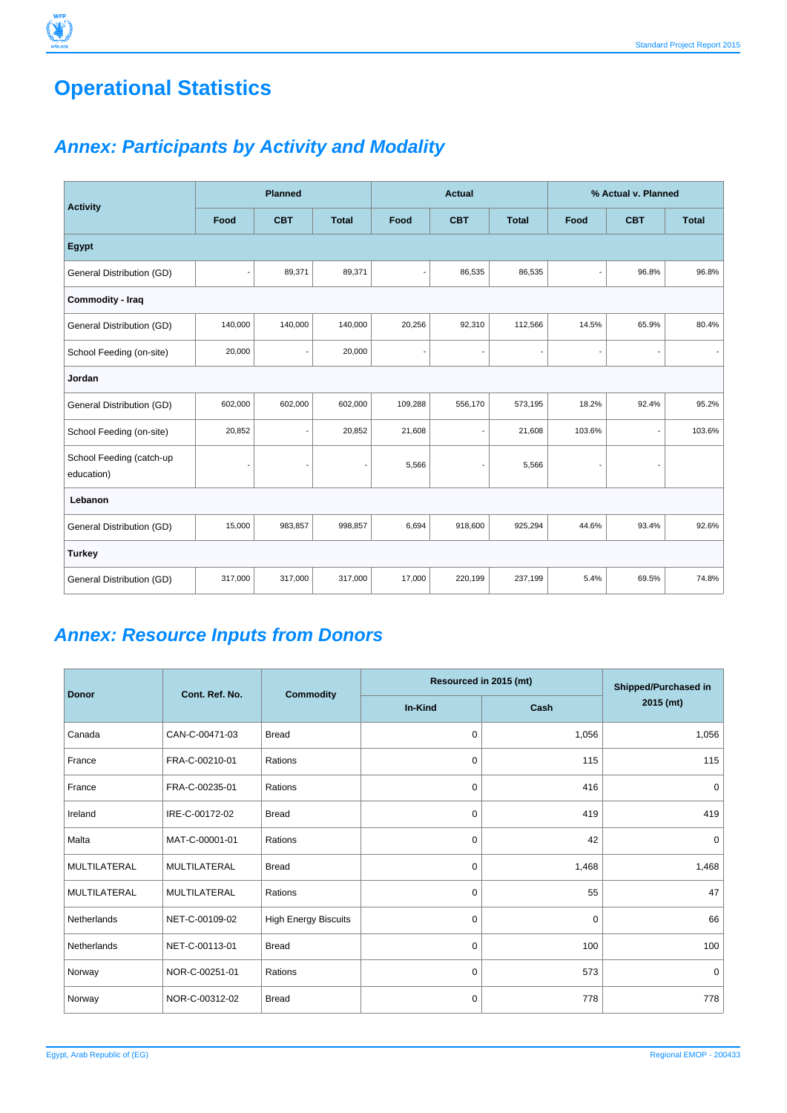## **Operational Statistics**

## **Annex: Participants by Activity and Modality**

|                                        | <b>Planned</b> |            | <b>Actual</b>            |                          |                          | % Actual v. Planned |        |                          |              |
|----------------------------------------|----------------|------------|--------------------------|--------------------------|--------------------------|---------------------|--------|--------------------------|--------------|
| <b>Activity</b>                        | Food           | <b>CBT</b> | <b>Total</b>             | Food                     | <b>CBT</b>               | <b>Total</b>        | Food   | <b>CBT</b>               | <b>Total</b> |
| <b>Egypt</b>                           |                |            |                          |                          |                          |                     |        |                          |              |
| General Distribution (GD)              | $\overline{a}$ | 89,371     | 89,371                   | $\overline{\phantom{a}}$ | 86,535                   | 86,535              | ٠      | 96.8%                    | 96.8%        |
| Commodity - Iraq                       |                |            |                          |                          |                          |                     |        |                          |              |
| General Distribution (GD)              | 140,000        | 140,000    | 140,000                  | 20,256                   | 92,310                   | 112,566             | 14.5%  | 65.9%                    | 80.4%        |
| School Feeding (on-site)               | 20,000         |            | 20,000                   | ٠                        |                          |                     |        |                          |              |
| Jordan                                 |                |            |                          |                          |                          |                     |        |                          |              |
| General Distribution (GD)              | 602,000        | 602,000    | 602,000                  | 109,288                  | 556,170                  | 573,195             | 18.2%  | 92.4%                    | 95.2%        |
| School Feeding (on-site)               | 20,852         |            | 20,852                   | 21,608                   | $\overline{\phantom{a}}$ | 21,608              | 103.6% | $\overline{\phantom{a}}$ | 103.6%       |
| School Feeding (catch-up<br>education) | ٠              |            | $\overline{\phantom{a}}$ | 5,566                    | $\overline{\phantom{m}}$ | 5,566               |        |                          |              |
| Lebanon                                |                |            |                          |                          |                          |                     |        |                          |              |
| General Distribution (GD)              | 15,000         | 983,857    | 998,857                  | 6,694                    | 918,600                  | 925,294             | 44.6%  | 93.4%                    | 92.6%        |
| <b>Turkey</b>                          |                |            |                          |                          |                          |                     |        |                          |              |
| General Distribution (GD)              | 317,000        | 317,000    | 317,000                  | 17,000                   | 220,199                  | 237,199             | 5.4%   | 69.5%                    | 74.8%        |

## **Annex: Resource Inputs from Donors**

| <b>Donor</b> | Cont. Ref. No.      |                             | Resourced in 2015 (mt) | Shipped/Purchased in |           |
|--------------|---------------------|-----------------------------|------------------------|----------------------|-----------|
|              |                     | <b>Commodity</b>            | In-Kind                | Cash                 | 2015 (mt) |
| Canada       | CAN-C-00471-03      | <b>Bread</b>                | $\mathbf 0$            | 1,056                | 1,056     |
| France       | FRA-C-00210-01      | Rations                     | 0                      | 115                  | 115       |
| France       | FRA-C-00235-01      | Rations                     | $\mathbf 0$            | 416                  | 0         |
| Ireland      | IRE-C-00172-02      | <b>Bread</b>                | $\mathbf 0$            | 419                  | 419       |
| Malta        | MAT-C-00001-01      | Rations                     | $\mathbf 0$            | 42                   | 0         |
| MULTILATERAL | <b>MULTILATERAL</b> | <b>Bread</b>                | $\mathbf 0$            | 1,468                | 1,468     |
| MULTILATERAL | <b>MULTILATERAL</b> | Rations                     | 0                      | 55                   | 47        |
| Netherlands  | NET-C-00109-02      | <b>High Energy Biscuits</b> | $\mathbf 0$            | 0                    | 66        |
| Netherlands  | NET-C-00113-01      | <b>Bread</b>                | 0                      | 100                  | 100       |
| Norway       | NOR-C-00251-01      | Rations                     | $\mathbf 0$            | 573                  | 0         |
| Norway       | NOR-C-00312-02      | <b>Bread</b>                | 0                      | 778                  | 778       |